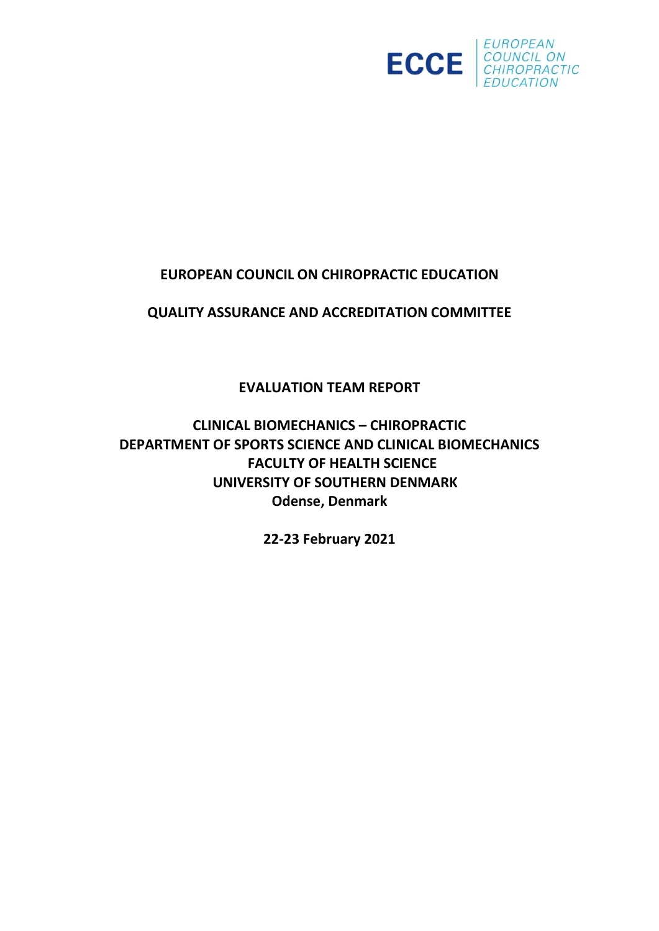

# **EUROPEAN COUNCIL ON CHIROPRACTIC EDUCATION**

**QUALITY ASSURANCE AND ACCREDITATION COMMITTEE**

**EVALUATION TEAM REPORT**

**CLINICAL BIOMECHANICS – CHIROPRACTIC DEPARTMENT OF SPORTS SCIENCE AND CLINICAL BIOMECHANICS FACULTY OF HEALTH SCIENCE UNIVERSITY OF SOUTHERN DENMARK Odense, Denmark**

**22-23 February 2021**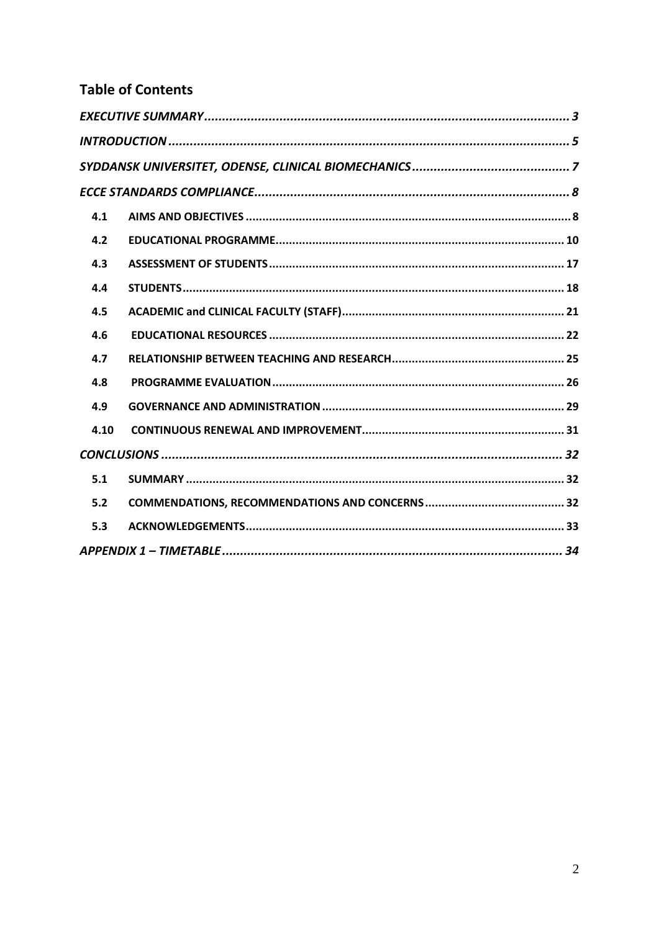# **Table of Contents**

| 4.1  |  |
|------|--|
| 4.2  |  |
| 4.3  |  |
| 4.4  |  |
| 4.5  |  |
| 4.6  |  |
| 4.7  |  |
| 4.8  |  |
| 4.9  |  |
| 4.10 |  |
|      |  |
| 5.1  |  |
| 5.2  |  |
| 5.3  |  |
|      |  |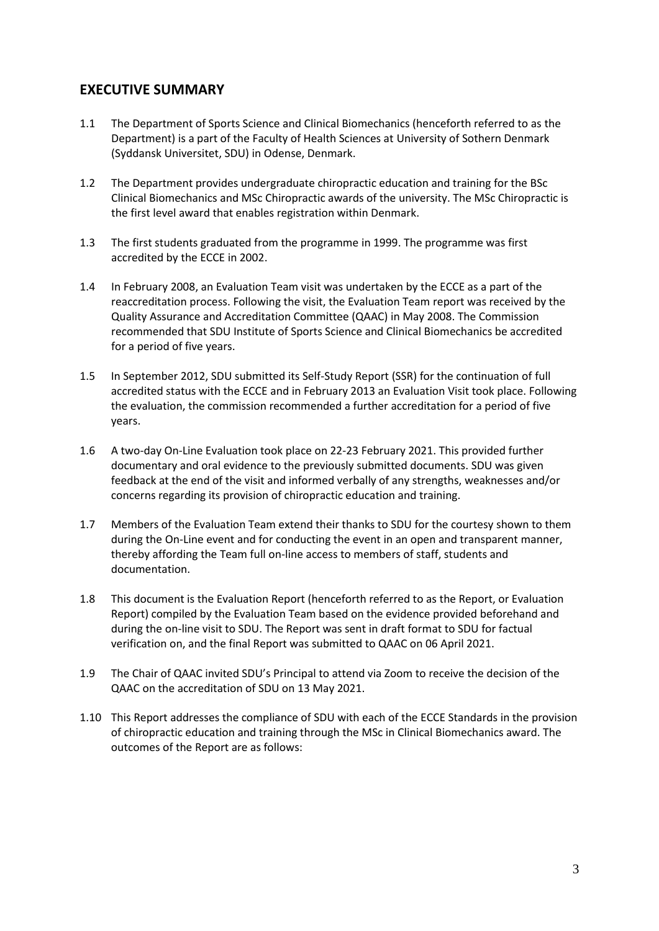# <span id="page-2-0"></span>**EXECUTIVE SUMMARY**

- 1.1 The Department of Sports Science and Clinical Biomechanics (henceforth referred to as the Department) is a part of the Faculty of Health Sciences at University of Sothern Denmark (Syddansk Universitet, SDU) in Odense, Denmark.
- 1.2 The Department provides undergraduate chiropractic education and training for the BSc Clinical Biomechanics and MSc Chiropractic awards of the university. The MSc Chiropractic is the first level award that enables registration within Denmark.
- 1.3 The first students graduated from the programme in 1999. The programme was first accredited by the ECCE in 2002.
- 1.4 In February 2008, an Evaluation Team visit was undertaken by the ECCE as a part of the reaccreditation process. Following the visit, the Evaluation Team report was received by the Quality Assurance and Accreditation Committee (QAAC) in May 2008. The Commission recommended that SDU Institute of Sports Science and Clinical Biomechanics be accredited for a period of five years.
- 1.5 In September 2012, SDU submitted its Self-Study Report (SSR) for the continuation of full accredited status with the ECCE and in February 2013 an Evaluation Visit took place. Following the evaluation, the commission recommended a further accreditation for a period of five years.
- 1.6 A two-day On-Line Evaluation took place on 22-23 February 2021. This provided further documentary and oral evidence to the previously submitted documents. SDU was given feedback at the end of the visit and informed verbally of any strengths, weaknesses and/or concerns regarding its provision of chiropractic education and training.
- 1.7 Members of the Evaluation Team extend their thanks to SDU for the courtesy shown to them during the On-Line event and for conducting the event in an open and transparent manner, thereby affording the Team full on-line access to members of staff, students and documentation.
- 1.8 This document is the Evaluation Report (henceforth referred to as the Report, or Evaluation Report) compiled by the Evaluation Team based on the evidence provided beforehand and during the on-line visit to SDU. The Report was sent in draft format to SDU for factual verification on, and the final Report was submitted to QAAC on 06 April 2021.
- 1.9 The Chair of QAAC invited SDU's Principal to attend via Zoom to receive the decision of the QAAC on the accreditation of SDU on 13 May 2021.
- 1.10 This Report addresses the compliance of SDU with each of the ECCE Standards in the provision of chiropractic education and training through the MSc in Clinical Biomechanics award. The outcomes of the Report are as follows: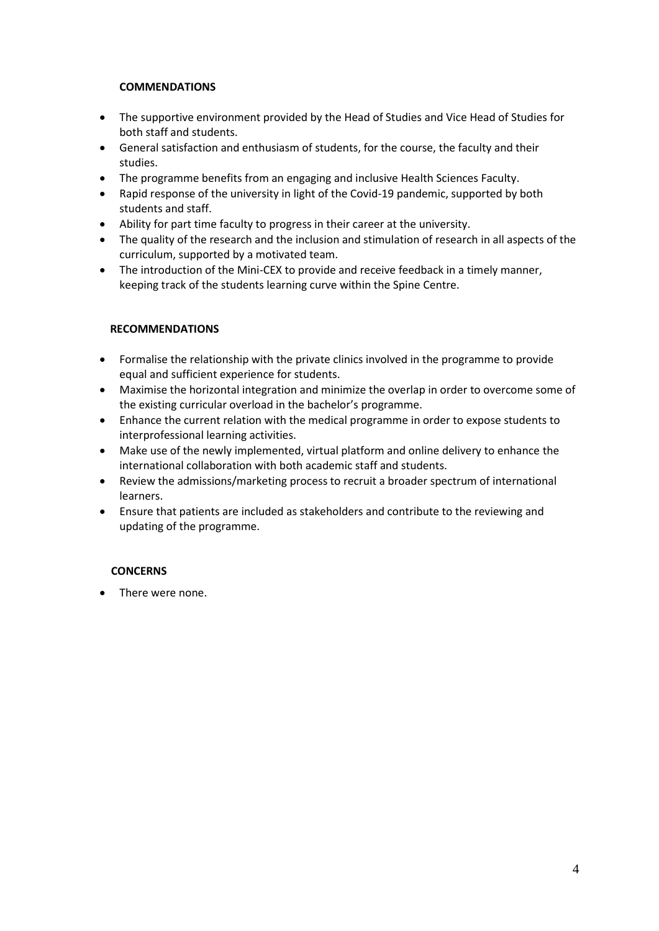#### **COMMENDATIONS**

- The supportive environment provided by the Head of Studies and Vice Head of Studies for both staff and students.
- General satisfaction and enthusiasm of students, for the course, the faculty and their studies.
- The programme benefits from an engaging and inclusive Health Sciences Faculty.
- Rapid response of the university in light of the Covid-19 pandemic, supported by both students and staff.
- Ability for part time faculty to progress in their career at the university.
- The quality of the research and the inclusion and stimulation of research in all aspects of the curriculum, supported by a motivated team.
- The introduction of the Mini-CEX to provide and receive feedback in a timely manner, keeping track of the students learning curve within the Spine Centre.

#### **RECOMMENDATIONS**

- Formalise the relationship with the private clinics involved in the programme to provide equal and sufficient experience for students.
- Maximise the horizontal integration and minimize the overlap in order to overcome some of the existing curricular overload in the bachelor's programme.
- Enhance the current relation with the medical programme in order to expose students to interprofessional learning activities.
- Make use of the newly implemented, virtual platform and online delivery to enhance the international collaboration with both academic staff and students.
- Review the admissions/marketing process to recruit a broader spectrum of international learners.
- Ensure that patients are included as stakeholders and contribute to the reviewing and updating of the programme.

#### **CONCERNS**

• There were none.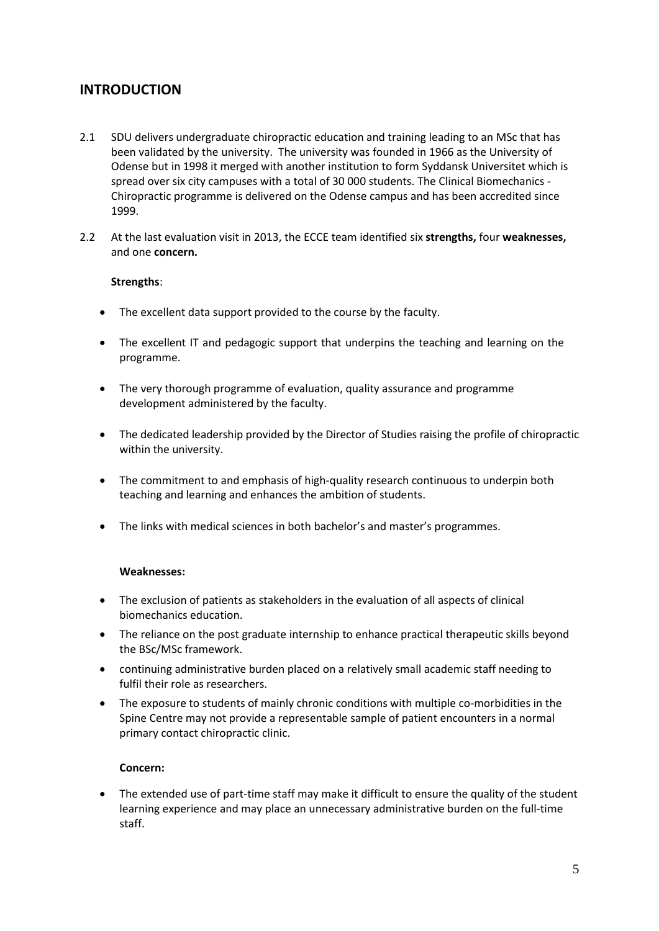# <span id="page-4-0"></span>**INTRODUCTION**

- 2.1 SDU delivers undergraduate chiropractic education and training leading to an MSc that has been validated by the university. The university was founded in 1966 as the University of Odense but in 1998 it merged with another institution to form Syddansk Universitet which is spread over six city campuses with a total of 30 000 students. The Clinical Biomechanics - Chiropractic programme is delivered on the Odense campus and has been accredited since 1999.
- 2.2 At the last evaluation visit in 2013, the ECCE team identified six **strengths,** four **weaknesses,** and one **concern.**

#### **Strengths**:

- The excellent data support provided to the course by the faculty.
- The excellent IT and pedagogic support that underpins the teaching and learning on the programme.
- The very thorough programme of evaluation, quality assurance and programme development administered by the faculty.
- The dedicated leadership provided by the Director of Studies raising the profile of chiropractic within the university.
- The commitment to and emphasis of high-quality research continuous to underpin both teaching and learning and enhances the ambition of students.
- The links with medical sciences in both bachelor's and master's programmes.

#### **Weaknesses:**

- The exclusion of patients as stakeholders in the evaluation of all aspects of clinical biomechanics education.
- The reliance on the post graduate internship to enhance practical therapeutic skills beyond the BSc/MSc framework.
- continuing administrative burden placed on a relatively small academic staff needing to fulfil their role as researchers.
- The exposure to students of mainly chronic conditions with multiple co-morbidities in the Spine Centre may not provide a representable sample of patient encounters in a normal primary contact chiropractic clinic.

#### **Concern:**

• The extended use of part-time staff may make it difficult to ensure the quality of the student learning experience and may place an unnecessary administrative burden on the full-time staff.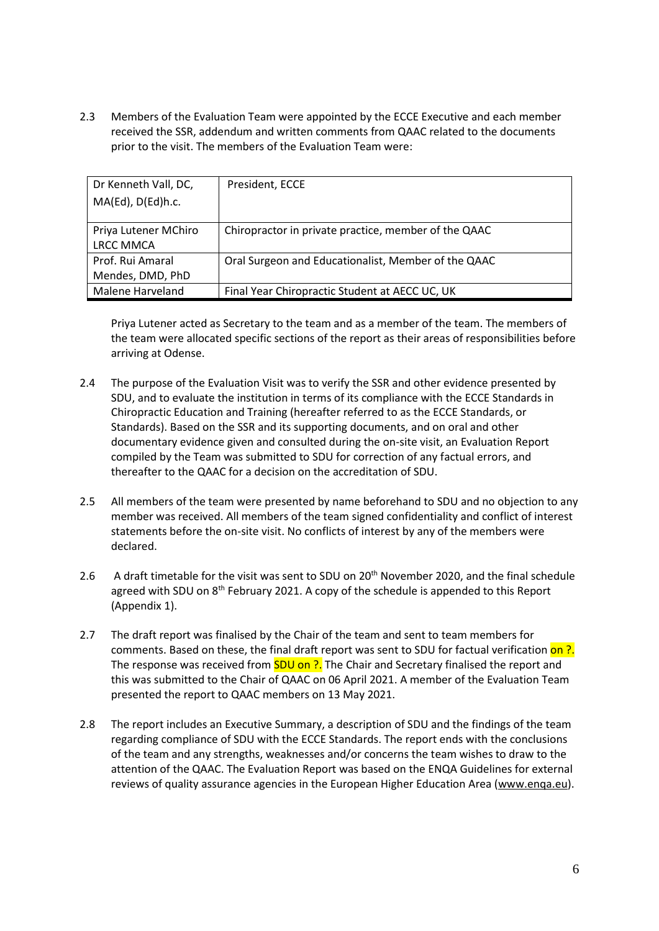2.3 Members of the Evaluation Team were appointed by the ECCE Executive and each member received the SSR, addendum and written comments from QAAC related to the documents prior to the visit. The members of the Evaluation Team were:

| Dr Kenneth Vall, DC, | President, ECCE                                      |
|----------------------|------------------------------------------------------|
| MA(Ed), D(Ed)h.c.    |                                                      |
|                      |                                                      |
| Priya Lutener MChiro | Chiropractor in private practice, member of the QAAC |
| <b>LRCC MMCA</b>     |                                                      |
| Prof. Rui Amaral     | Oral Surgeon and Educationalist, Member of the QAAC  |
| Mendes, DMD, PhD     |                                                      |
| Malene Harveland     | Final Year Chiropractic Student at AECC UC, UK       |

Priya Lutener acted as Secretary to the team and as a member of the team. The members of the team were allocated specific sections of the report as their areas of responsibilities before arriving at Odense.

- 2.4 The purpose of the Evaluation Visit was to verify the SSR and other evidence presented by SDU, and to evaluate the institution in terms of its compliance with the ECCE Standards in Chiropractic Education and Training (hereafter referred to as the ECCE Standards, or Standards). Based on the SSR and its supporting documents, and on oral and other documentary evidence given and consulted during the on-site visit, an Evaluation Report compiled by the Team was submitted to SDU for correction of any factual errors, and thereafter to the QAAC for a decision on the accreditation of SDU.
- 2.5 All members of the team were presented by name beforehand to SDU and no objection to any member was received. All members of the team signed confidentiality and conflict of interest statements before the on-site visit. No conflicts of interest by any of the members were declared.
- 2.6 A draft timetable for the visit was sent to SDU on 20<sup>th</sup> November 2020, and the final schedule agreed with SDU on 8<sup>th</sup> February 2021. A copy of the schedule is appended to this Report (Appendix 1).
- 2.7 The draft report was finalised by the Chair of the team and sent to team members for comments. Based on these, the final draft report was sent to SDU for factual verification on ?. The response was received from **SDU on ?.** The Chair and Secretary finalised the report and this was submitted to the Chair of QAAC on 06 April 2021. A member of the Evaluation Team presented the report to QAAC members on 13 May 2021.
- 2.8 The report includes an Executive Summary, a description of SDU and the findings of the team regarding compliance of SDU with the ECCE Standards. The report ends with the conclusions of the team and any strengths, weaknesses and/or concerns the team wishes to draw to the attention of the QAAC. The Evaluation Report was based on the ENQA Guidelines for external reviews of quality assurance agencies in the European Higher Education Area [\(www.enqa.eu\)](http://www.enqa.eu/).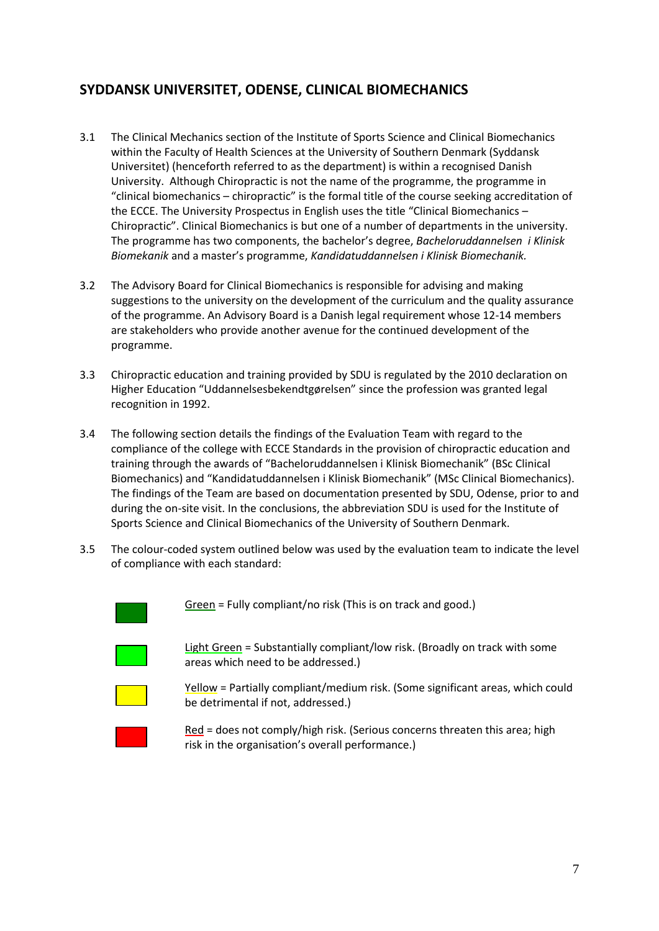# <span id="page-6-0"></span>**SYDDANSK UNIVERSITET, ODENSE, CLINICAL BIOMECHANICS**

- 3.1 The Clinical Mechanics section of the Institute of Sports Science and Clinical Biomechanics within the Faculty of Health Sciences at the University of Southern Denmark (Syddansk Universitet) (henceforth referred to as the department) is within a recognised Danish University. Although Chiropractic is not the name of the programme, the programme in "clinical biomechanics – chiropractic" is the formal title of the course seeking accreditation of the ECCE. The University Prospectus in English uses the title "Clinical Biomechanics – Chiropractic". Clinical Biomechanics is but one of a number of departments in the university. The programme has two components, the bachelor's degree, *Bacheloruddannelsen i Klinisk Biomekanik* and a master's programme, *Kandidatuddannelsen i Klinisk Biomechanik.*
- 3.2 The Advisory Board for Clinical Biomechanics is responsible for advising and making suggestions to the university on the development of the curriculum and the quality assurance of the programme. An Advisory Board is a Danish legal requirement whose 12-14 members are stakeholders who provide another avenue for the continued development of the programme.
- 3.3 Chiropractic education and training provided by SDU is regulated by the 2010 declaration on Higher Education "Uddannelsesbekendtgørelsen" since the profession was granted legal recognition in 1992.
- 3.4 The following section details the findings of the Evaluation Team with regard to the compliance of the college with ECCE Standards in the provision of chiropractic education and training through the awards of "Bacheloruddannelsen i Klinisk Biomechanik" (BSc Clinical Biomechanics) and "Kandidatuddannelsen i Klinisk Biomechanik" (MSc Clinical Biomechanics). The findings of the Team are based on documentation presented by SDU, Odense, prior to and during the on-site visit. In the conclusions, the abbreviation SDU is used for the Institute of Sports Science and Clinical Biomechanics of the University of Southern Denmark.
- 3.5 The colour-coded system outlined below was used by the evaluation team to indicate the level of compliance with each standard:



Green = Fully compliant/no risk (This is on track and good.)

Light Green = Substantially compliant/low risk. (Broadly on track with some areas which need to be addressed.)



Yellow = Partially compliant/medium risk. (Some significant areas, which could be detrimental if not, addressed.)

Red = does not comply/high risk. (Serious concerns threaten this area; high risk in the organisation's overall performance.)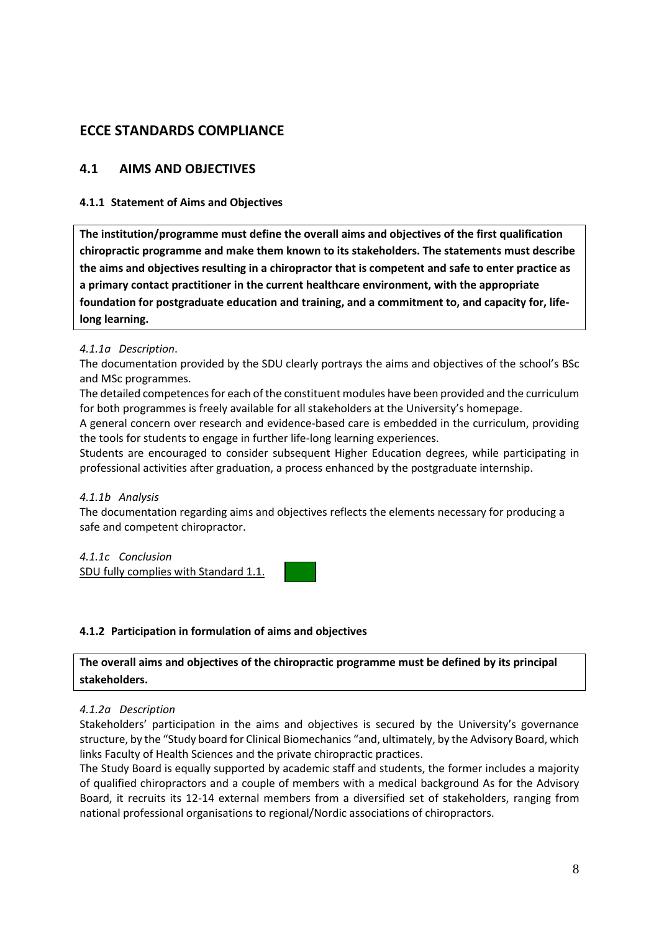# <span id="page-7-0"></span>**ECCE STANDARDS COMPLIANCE**

### <span id="page-7-1"></span>**4.1 AIMS AND OBJECTIVES**

#### **4.1.1 Statement of Aims and Objectives**

**The institution/programme must define the overall aims and objectives of the first qualification chiropractic programme and make them known to its stakeholders. The statements must describe the aims and objectives resulting in a chiropractor that is competent and safe to enter practice as a primary contact practitioner in the current healthcare environment, with the appropriate foundation for postgraduate education and training, and a commitment to, and capacity for, lifelong learning.**

#### *4.1.1a Description*.

The documentation provided by the SDU clearly portrays the aims and objectives of the school's BSc and MSc programmes.

The detailed competences for each of the constituent modules have been provided and the curriculum for both programmes is freely available for all stakeholders at the University's homepage.

A general concern over research and evidence-based care is embedded in the curriculum, providing the tools for students to engage in further life-long learning experiences.

Students are encouraged to consider subsequent Higher Education degrees, while participating in professional activities after graduation, a process enhanced by the postgraduate internship.

#### *4.1.1b Analysis*

The documentation regarding aims and objectives reflects the elements necessary for producing a safe and competent chiropractor.

*4.1.1c Conclusion* SDU fully complies with Standard 1.1.

#### **4.1.2 Participation in formulation of aims and objectives**

**The overall aims and objectives of the chiropractic programme must be defined by its principal stakeholders.**

#### *4.1.2a Description*

Stakeholders' participation in the aims and objectives is secured by the University's governance structure, by the "Study board for Clinical Biomechanics "and, ultimately, by the Advisory Board, which links Faculty of Health Sciences and the private chiropractic practices.

The Study Board is equally supported by academic staff and students, the former includes a majority of qualified chiropractors and a couple of members with a medical background As for the Advisory Board, it recruits its 12-14 external members from a diversified set of stakeholders, ranging from national professional organisations to regional/Nordic associations of chiropractors.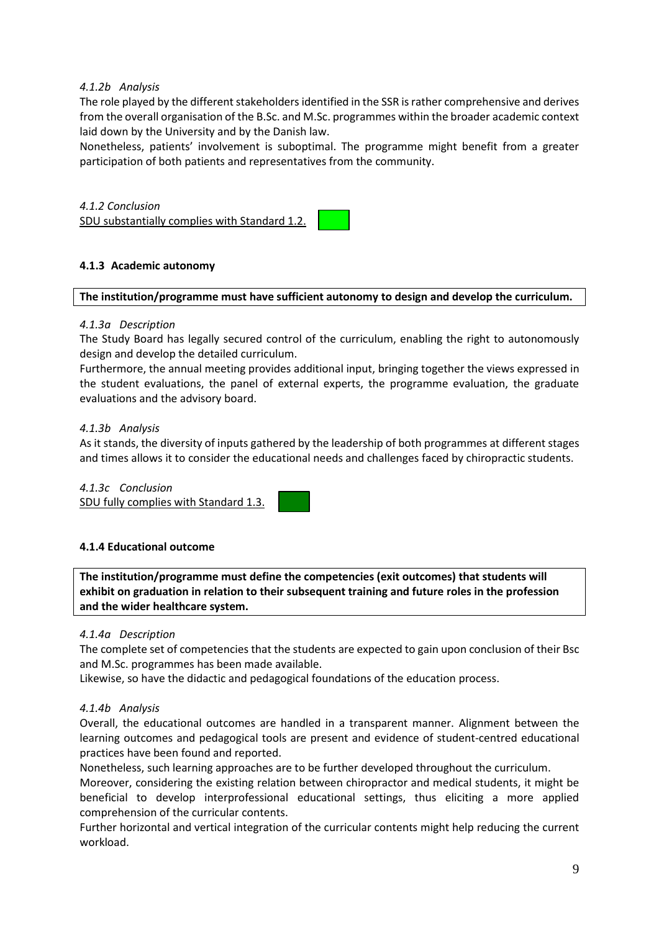#### *4.1.2b Analysis*

The role played by the different stakeholders identified in the SSR is rather comprehensive and derives from the overall organisation of the B.Sc. and M.Sc. programmes within the broader academic context laid down by the University and by the Danish law.

Nonetheless, patients' involvement is suboptimal. The programme might benefit from a greater participation of both patients and representatives from the community.

### *4.1.2 Conclusion*

SDU substantially complies with Standard 1.2.

#### **4.1.3 Academic autonomy**

#### **The institution/programme must have sufficient autonomy to design and develop the curriculum.**

#### *4.1.3a Description*

The Study Board has legally secured control of the curriculum, enabling the right to autonomously design and develop the detailed curriculum.

Furthermore, the annual meeting provides additional input, bringing together the views expressed in the student evaluations, the panel of external experts, the programme evaluation, the graduate evaluations and the advisory board.

#### *4.1.3b Analysis*

As it stands, the diversity of inputs gathered by the leadership of both programmes at different stages and times allows it to consider the educational needs and challenges faced by chiropractic students.

*4.1.3c Conclusion* SDU fully complies with Standard 1.3.

#### **4.1.4 Educational outcome**

**The institution/programme must define the competencies (exit outcomes) that students will exhibit on graduation in relation to their subsequent training and future roles in the profession and the wider healthcare system.**

#### *4.1.4a Description*

The complete set of competencies that the students are expected to gain upon conclusion of their Bsc and M.Sc. programmes has been made available.

Likewise, so have the didactic and pedagogical foundations of the education process.

#### *4.1.4b Analysis*

Overall, the educational outcomes are handled in a transparent manner. Alignment between the learning outcomes and pedagogical tools are present and evidence of student-centred educational practices have been found and reported.

Nonetheless, such learning approaches are to be further developed throughout the curriculum. Moreover, considering the existing relation between chiropractor and medical students, it might be beneficial to develop interprofessional educational settings, thus eliciting a more applied comprehension of the curricular contents.

Further horizontal and vertical integration of the curricular contents might help reducing the current workload.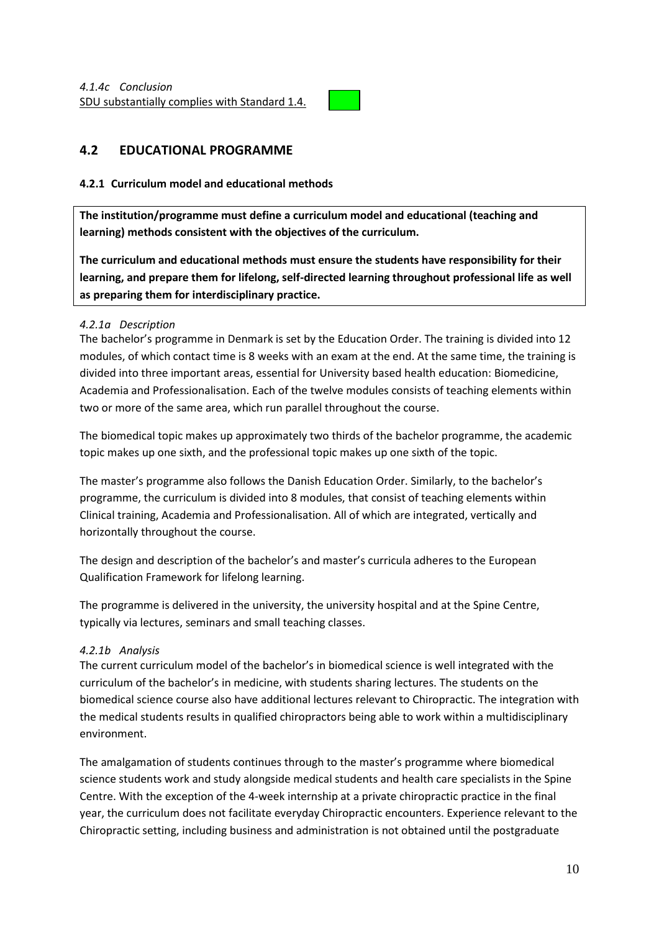

# <span id="page-9-0"></span>**4.2 EDUCATIONAL PROGRAMME**

#### **4.2.1 Curriculum model and educational methods**

**The institution/programme must define a curriculum model and educational (teaching and learning) methods consistent with the objectives of the curriculum.** 

**The curriculum and educational methods must ensure the students have responsibility for their learning, and prepare them for lifelong, self-directed learning throughout professional life as well as preparing them for interdisciplinary practice.**

#### *4.2.1a Description*

The bachelor's programme in Denmark is set by the Education Order. The training is divided into 12 modules, of which contact time is 8 weeks with an exam at the end. At the same time, the training is divided into three important areas, essential for University based health education: Biomedicine, Academia and Professionalisation. Each of the twelve modules consists of teaching elements within two or more of the same area, which run parallel throughout the course.

The biomedical topic makes up approximately two thirds of the bachelor programme, the academic topic makes up one sixth, and the professional topic makes up one sixth of the topic.

The master's programme also follows the Danish Education Order. Similarly, to the bachelor's programme, the curriculum is divided into 8 modules, that consist of teaching elements within Clinical training, Academia and Professionalisation. All of which are integrated, vertically and horizontally throughout the course.

The design and description of the bachelor's and master's curricula adheres to the European Qualification Framework for lifelong learning.

The programme is delivered in the university, the university hospital and at the Spine Centre, typically via lectures, seminars and small teaching classes.

#### *4.2.1b Analysis*

The current curriculum model of the bachelor's in biomedical science is well integrated with the curriculum of the bachelor's in medicine, with students sharing lectures. The students on the biomedical science course also have additional lectures relevant to Chiropractic. The integration with the medical students results in qualified chiropractors being able to work within a multidisciplinary environment.

The amalgamation of students continues through to the master's programme where biomedical science students work and study alongside medical students and health care specialists in the Spine Centre. With the exception of the 4-week internship at a private chiropractic practice in the final year, the curriculum does not facilitate everyday Chiropractic encounters. Experience relevant to the Chiropractic setting, including business and administration is not obtained until the postgraduate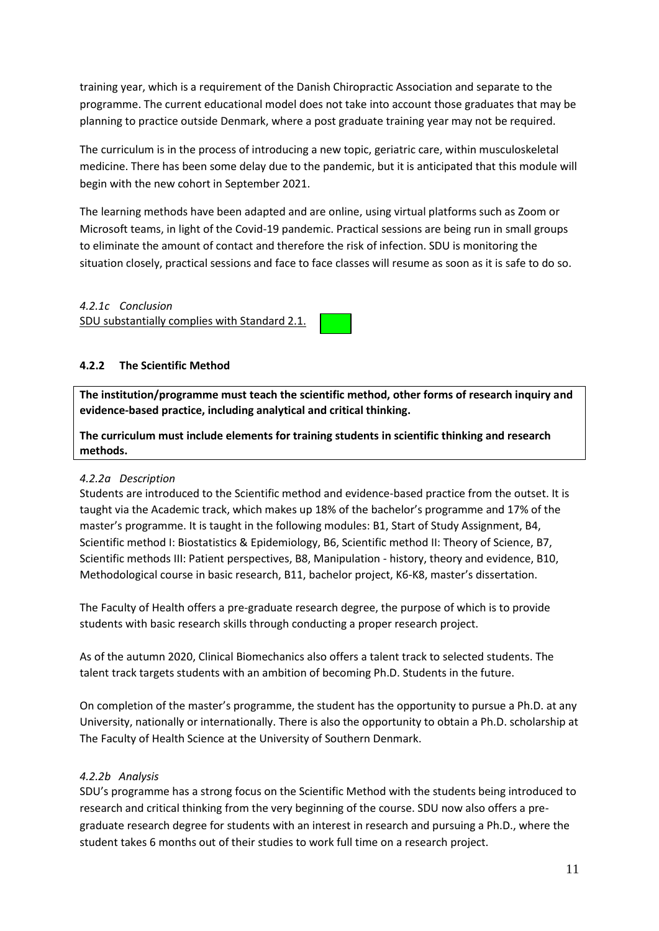training year, which is a requirement of the Danish Chiropractic Association and separate to the programme. The current educational model does not take into account those graduates that may be planning to practice outside Denmark, where a post graduate training year may not be required.

The curriculum is in the process of introducing a new topic, geriatric care, within musculoskeletal medicine. There has been some delay due to the pandemic, but it is anticipated that this module will begin with the new cohort in September 2021.

The learning methods have been adapted and are online, using virtual platforms such as Zoom or Microsoft teams, in light of the Covid-19 pandemic. Practical sessions are being run in small groups to eliminate the amount of contact and therefore the risk of infection. SDU is monitoring the situation closely, practical sessions and face to face classes will resume as soon as it is safe to do so.

#### *4.2.1c Conclusion* SDU substantially complies with Standard 2.1.



### **4.2.2 The Scientific Method**

**The institution/programme must teach the scientific method, other forms of research inquiry and evidence-based practice, including analytical and critical thinking.**

**The curriculum must include elements for training students in scientific thinking and research methods.**

#### *4.2.2a Description*

Students are introduced to the Scientific method and evidence-based practice from the outset. It is taught via the Academic track, which makes up 18% of the bachelor's programme and 17% of the master's programme. It is taught in the following modules: B1, Start of Study Assignment, B4, Scientific method I: Biostatistics & Epidemiology, B6, Scientific method II: Theory of Science, B7, Scientific methods III: Patient perspectives, B8, Manipulation - history, theory and evidence, B10, Methodological course in basic research, B11, bachelor project, K6-K8, master's dissertation.

The Faculty of Health offers a pre-graduate research degree, the purpose of which is to provide students with basic research skills through conducting a proper research project.

As of the autumn 2020, Clinical Biomechanics also offers a talent track to selected students. The talent track targets students with an ambition of becoming Ph.D. Students in the future.

On completion of the master's programme, the student has the opportunity to pursue a Ph.D. at any University, nationally or internationally. There is also the opportunity to obtain a Ph.D. scholarship at The Faculty of Health Science at the University of Southern Denmark.

# *4.2.2b Analysis*

SDU's programme has a strong focus on the Scientific Method with the students being introduced to research and critical thinking from the very beginning of the course. SDU now also offers a pregraduate research degree for students with an interest in research and pursuing a Ph.D., where the student takes 6 months out of their studies to work full time on a research project.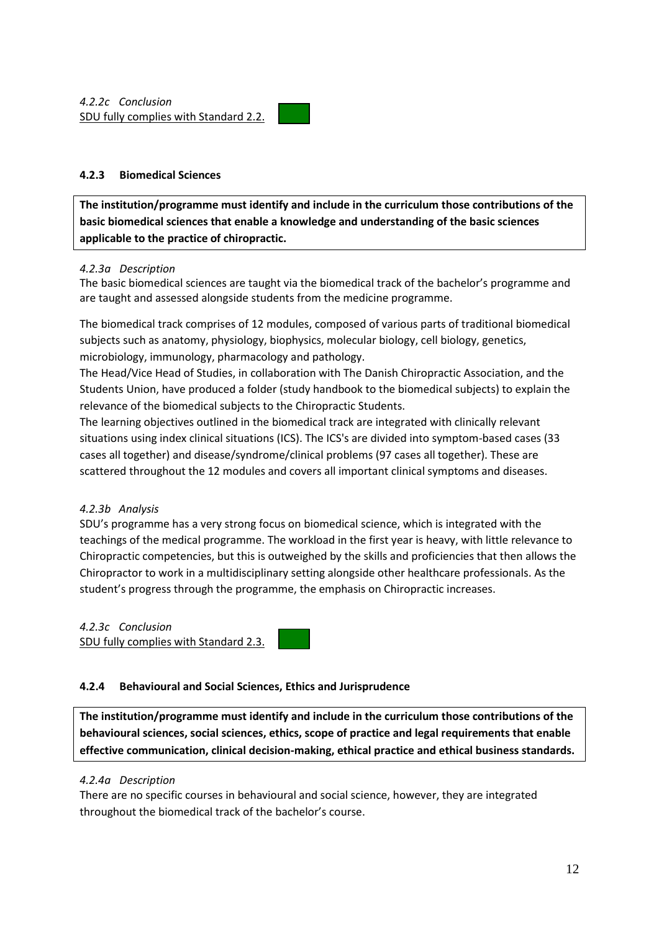#### **4.2.3 Biomedical Sciences**

**The institution/programme must identify and include in the curriculum those contributions of the basic biomedical sciences that enable a knowledge and understanding of the basic sciences applicable to the practice of chiropractic.**

#### *4.2.3a Description*

The basic biomedical sciences are taught via the biomedical track of the bachelor's programme and are taught and assessed alongside students from the medicine programme.

The biomedical track comprises of 12 modules, composed of various parts of traditional biomedical subjects such as anatomy, physiology, biophysics, molecular biology, cell biology, genetics, microbiology, immunology, pharmacology and pathology.

The Head/Vice Head of Studies, in collaboration with The Danish Chiropractic Association, and the Students Union, have produced a folder (study handbook to the biomedical subjects) to explain the relevance of the biomedical subjects to the Chiropractic Students.

The learning objectives outlined in the biomedical track are integrated with clinically relevant situations using index clinical situations (ICS). The ICS's are divided into symptom-based cases (33 cases all together) and disease/syndrome/clinical problems (97 cases all together). These are scattered throughout the 12 modules and covers all important clinical symptoms and diseases.

#### *4.2.3b Analysis*

SDU's programme has a very strong focus on biomedical science, which is integrated with the teachings of the medical programme. The workload in the first year is heavy, with little relevance to Chiropractic competencies, but this is outweighed by the skills and proficiencies that then allows the Chiropractor to work in a multidisciplinary setting alongside other healthcare professionals. As the student's progress through the programme, the emphasis on Chiropractic increases.

# *4.2.3c Conclusion*

SDU fully complies with Standard 2.3.

#### **4.2.4 Behavioural and Social Sciences, Ethics and Jurisprudence**

**The institution/programme must identify and include in the curriculum those contributions of the behavioural sciences, social sciences, ethics, scope of practice and legal requirements that enable effective communication, clinical decision-making, ethical practice and ethical business standards.**

#### *4.2.4a Description*

There are no specific courses in behavioural and social science, however, they are integrated throughout the biomedical track of the bachelor's course.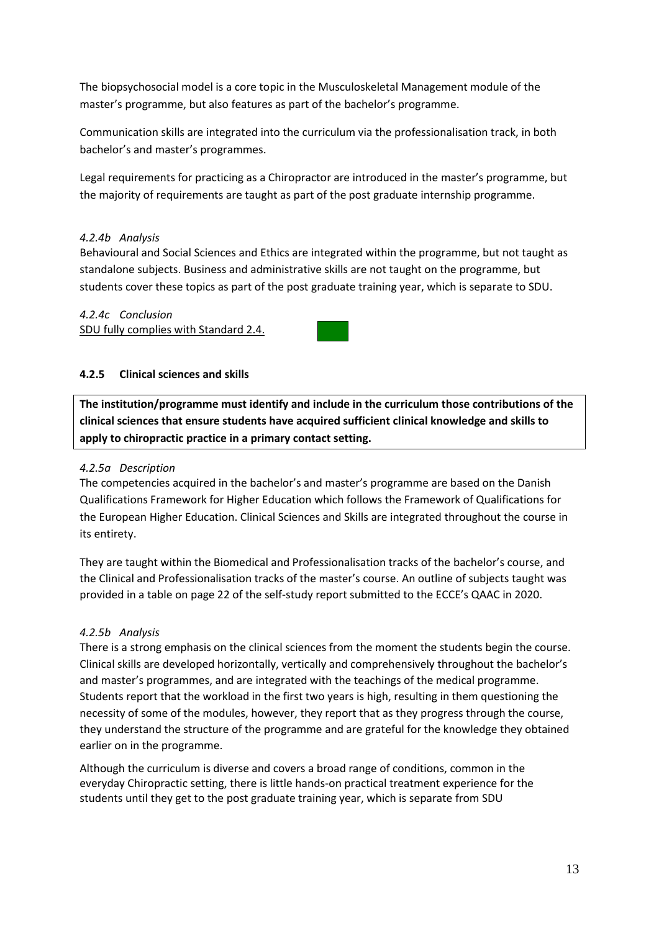The biopsychosocial model is a core topic in the Musculoskeletal Management module of the master's programme, but also features as part of the bachelor's programme.

Communication skills are integrated into the curriculum via the professionalisation track, in both bachelor's and master's programmes.

Legal requirements for practicing as a Chiropractor are introduced in the master's programme, but the majority of requirements are taught as part of the post graduate internship programme.

#### *4.2.4b Analysis*

Behavioural and Social Sciences and Ethics are integrated within the programme, but not taught as standalone subjects. Business and administrative skills are not taught on the programme, but students cover these topics as part of the post graduate training year, which is separate to SDU.

#### *4.2.4c Conclusion*

SDU fully complies with Standard 2.4.



#### **4.2.5 Clinical sciences and skills**

**The institution/programme must identify and include in the curriculum those contributions of the clinical sciences that ensure students have acquired sufficient clinical knowledge and skills to apply to chiropractic practice in a primary contact setting.**

#### *4.2.5a Description*

The competencies acquired in the bachelor's and master's programme are based on the Danish Qualifications Framework for Higher Education which follows the Framework of Qualifications for the European Higher Education. Clinical Sciences and Skills are integrated throughout the course in its entirety.

They are taught within the Biomedical and Professionalisation tracks of the bachelor's course, and the Clinical and Professionalisation tracks of the master's course. An outline of subjects taught was provided in a table on page 22 of the self-study report submitted to the ECCE's QAAC in 2020.

#### *4.2.5b Analysis*

There is a strong emphasis on the clinical sciences from the moment the students begin the course. Clinical skills are developed horizontally, vertically and comprehensively throughout the bachelor's and master's programmes, and are integrated with the teachings of the medical programme. Students report that the workload in the first two years is high, resulting in them questioning the necessity of some of the modules, however, they report that as they progress through the course, they understand the structure of the programme and are grateful for the knowledge they obtained earlier on in the programme.

Although the curriculum is diverse and covers a broad range of conditions, common in the everyday Chiropractic setting, there is little hands-on practical treatment experience for the students until they get to the post graduate training year, which is separate from SDU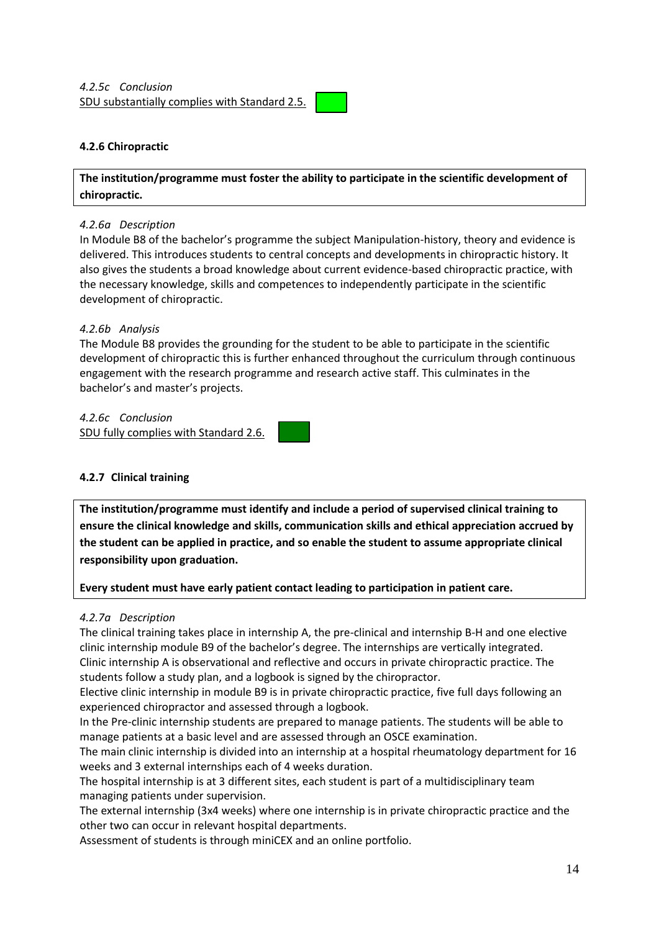

#### **4.2.6 Chiropractic**

**The institution/programme must foster the ability to participate in the scientific development of chiropractic.**

#### *4.2.6a Description*

In Module B8 of the bachelor's programme the subject Manipulation-history, theory and evidence is delivered. This introduces students to central concepts and developments in chiropractic history. It also gives the students a broad knowledge about current evidence-based chiropractic practice, with the necessary knowledge, skills and competences to independently participate in the scientific development of chiropractic.

#### *4.2.6b Analysis*

The Module B8 provides the grounding for the student to be able to participate in the scientific development of chiropractic this is further enhanced throughout the curriculum through continuous engagement with the research programme and research active staff. This culminates in the bachelor's and master's projects.

*4.2.6c Conclusion* SDU fully complies with Standard 2.6.

#### **4.2.7 Clinical training**

**The institution/programme must identify and include a period of supervised clinical training to ensure the clinical knowledge and skills, communication skills and ethical appreciation accrued by the student can be applied in practice, and so enable the student to assume appropriate clinical responsibility upon graduation.** 

**Every student must have early patient contact leading to participation in patient care.**

#### *4.2.7a Description*

The clinical training takes place in internship A, the pre-clinical and internship B-H and one elective clinic internship module B9 of the bachelor's degree. The internships are vertically integrated. Clinic internship A is observational and reflective and occurs in private chiropractic practice. The students follow a study plan, and a logbook is signed by the chiropractor.

Elective clinic internship in module B9 is in private chiropractic practice, five full days following an experienced chiropractor and assessed through a logbook.

In the Pre-clinic internship students are prepared to manage patients. The students will be able to manage patients at a basic level and are assessed through an OSCE examination.

The main clinic internship is divided into an internship at a hospital rheumatology department for 16 weeks and 3 external internships each of 4 weeks duration.

The hospital internship is at 3 different sites, each student is part of a multidisciplinary team managing patients under supervision.

The external internship (3x4 weeks) where one internship is in private chiropractic practice and the other two can occur in relevant hospital departments.

Assessment of students is through miniCEX and an online portfolio.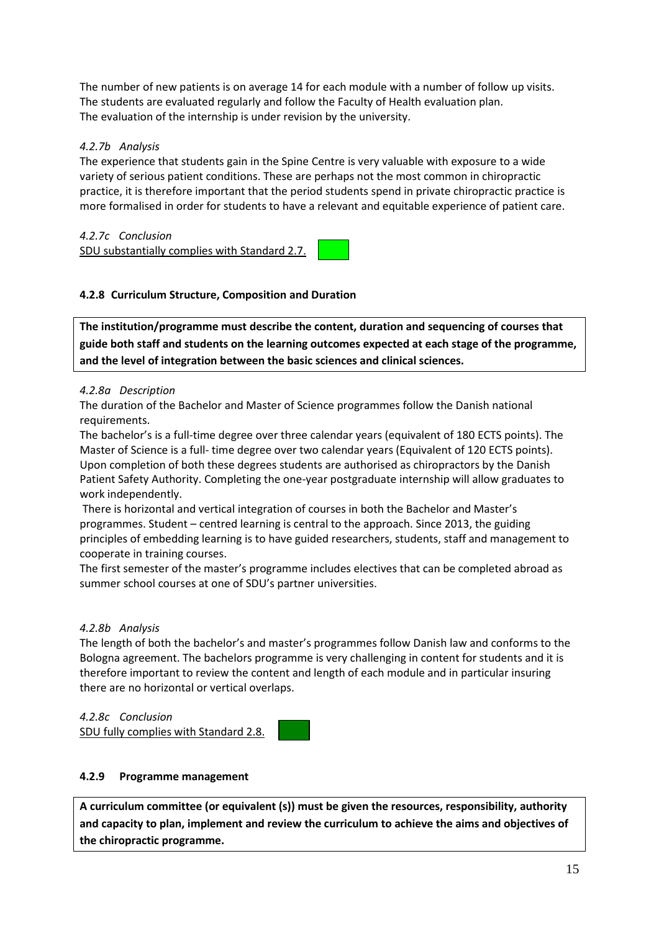The number of new patients is on average 14 for each module with a number of follow up visits. The students are evaluated regularly and follow the Faculty of Health evaluation plan. The evaluation of the internship is under revision by the university.

#### *4.2.7b Analysis*

The experience that students gain in the Spine Centre is very valuable with exposure to a wide variety of serious patient conditions. These are perhaps not the most common in chiropractic practice, it is therefore important that the period students spend in private chiropractic practice is more formalised in order for students to have a relevant and equitable experience of patient care.

# *4.2.7c Conclusion*

SDU substantially complies with Standard 2.7.



### **4.2.8 Curriculum Structure, Composition and Duration**

**The institution/programme must describe the content, duration and sequencing of courses that guide both staff and students on the learning outcomes expected at each stage of the programme, and the level of integration between the basic sciences and clinical sciences.**

### *4.2.8a Description*

The duration of the Bachelor and Master of Science programmes follow the Danish national requirements.

The bachelor's is a full-time degree over three calendar years (equivalent of 180 ECTS points). The Master of Science is a full- time degree over two calendar years (Equivalent of 120 ECTS points). Upon completion of both these degrees students are authorised as chiropractors by the Danish Patient Safety Authority. Completing the one-year postgraduate internship will allow graduates to work independently.

There is horizontal and vertical integration of courses in both the Bachelor and Master's programmes. Student – centred learning is central to the approach. Since 2013, the guiding principles of embedding learning is to have guided researchers, students, staff and management to cooperate in training courses.

The first semester of the master's programme includes electives that can be completed abroad as summer school courses at one of SDU's partner universities.

# *4.2.8b Analysis*

The length of both the bachelor's and master's programmes follow Danish law and conforms to the Bologna agreement. The bachelors programme is very challenging in content for students and it is therefore important to review the content and length of each module and in particular insuring there are no horizontal or vertical overlaps.

*4.2.8c Conclusion* SDU fully complies with Standard 2.8.

#### **4.2.9 Programme management**

**A curriculum committee (or equivalent (s)) must be given the resources, responsibility, authority and capacity to plan, implement and review the curriculum to achieve the aims and objectives of the chiropractic programme.**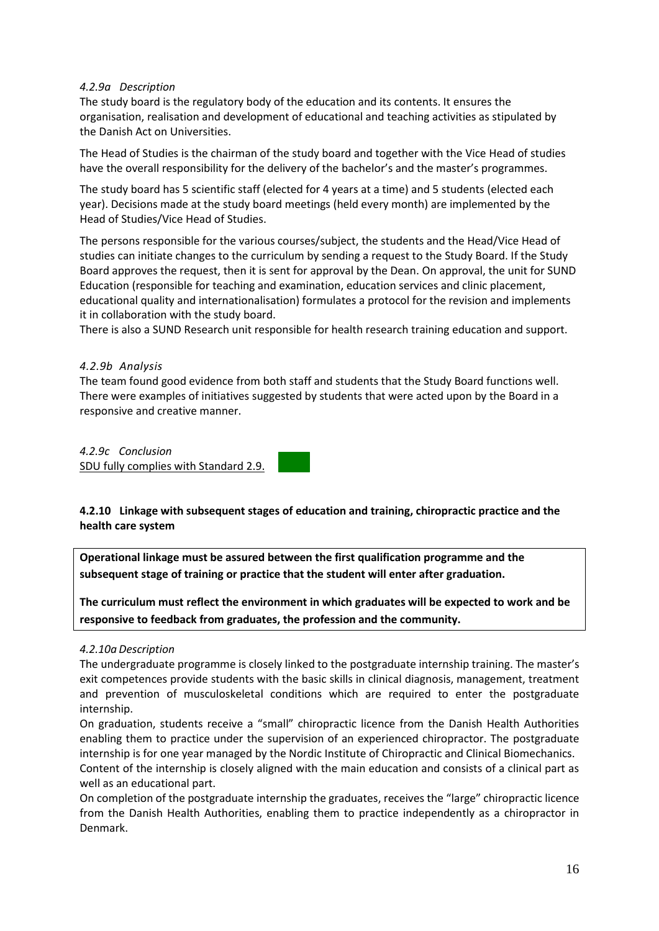#### *4.2.9a Description*

The study board is the regulatory body of the education and its contents. It ensures the organisation, realisation and development of educational and teaching activities as stipulated by the Danish Act on Universities.

The Head of Studies is the chairman of the study board and together with the Vice Head of studies have the overall responsibility for the delivery of the bachelor's and the master's programmes.

The study board has 5 scientific staff (elected for 4 years at a time) and 5 students (elected each year). Decisions made at the study board meetings (held every month) are implemented by the Head of Studies/Vice Head of Studies.

The persons responsible for the various courses/subject, the students and the Head/Vice Head of studies can initiate changes to the curriculum by sending a request to the Study Board. If the Study Board approves the request, then it is sent for approval by the Dean. On approval, the unit for SUND Education (responsible for teaching and examination, education services and clinic placement, educational quality and internationalisation) formulates a protocol for the revision and implements it in collaboration with the study board.

There is also a SUND Research unit responsible for health research training education and support.

#### *4.2.9b Analysis*

The team found good evidence from both staff and students that the Study Board functions well. There were examples of initiatives suggested by students that were acted upon by the Board in a responsive and creative manner.

*4.2.9c Conclusion* SDU fully complies with Standard 2.9.

**4.2.10 Linkage with subsequent stages of education and training, chiropractic practice and the health care system**

**Operational linkage must be assured between the first qualification programme and the subsequent stage of training or practice that the student will enter after graduation.**

**The curriculum must reflect the environment in which graduates will be expected to work and be responsive to feedback from graduates, the profession and the community.**

#### *4.2.10a Description*

The undergraduate programme is closely linked to the postgraduate internship training. The master's exit competences provide students with the basic skills in clinical diagnosis, management, treatment and prevention of musculoskeletal conditions which are required to enter the postgraduate internship.

On graduation, students receive a "small" chiropractic licence from the Danish Health Authorities enabling them to practice under the supervision of an experienced chiropractor. The postgraduate internship is for one year managed by the Nordic Institute of Chiropractic and Clinical Biomechanics. Content of the internship is closely aligned with the main education and consists of a clinical part as well as an educational part.

On completion of the postgraduate internship the graduates, receives the "large" chiropractic licence from the Danish Health Authorities, enabling them to practice independently as a chiropractor in Denmark.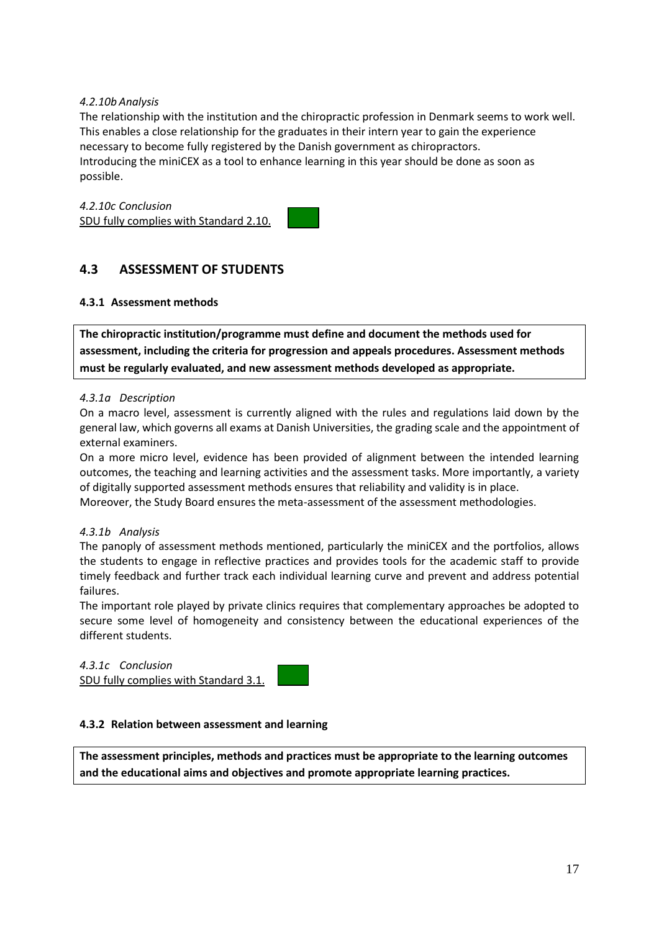#### *4.2.10b Analysis*

The relationship with the institution and the chiropractic profession in Denmark seems to work well. This enables a close relationship for the graduates in their intern year to gain the experience necessary to become fully registered by the Danish government as chiropractors. Introducing the miniCEX as a tool to enhance learning in this year should be done as soon as possible.

*4.2.10c Conclusion* SDU fully complies with Standard 2.10.



# <span id="page-16-0"></span>**4.3 ASSESSMENT OF STUDENTS**

#### **4.3.1 Assessment methods**

**The chiropractic institution/programme must define and document the methods used for assessment, including the criteria for progression and appeals procedures. Assessment methods must be regularly evaluated, and new assessment methods developed as appropriate.**

#### *4.3.1a Description*

On a macro level, assessment is currently aligned with the rules and regulations laid down by the general law, which governs all exams at Danish Universities, the grading scale and the appointment of external examiners.

On a more micro level, evidence has been provided of alignment between the intended learning outcomes, the teaching and learning activities and the assessment tasks. More importantly, a variety of digitally supported assessment methods ensures that reliability and validity is in place.

Moreover, the Study Board ensures the meta-assessment of the assessment methodologies.

#### *4.3.1b Analysis*

The panoply of assessment methods mentioned, particularly the miniCEX and the portfolios, allows the students to engage in reflective practices and provides tools for the academic staff to provide timely feedback and further track each individual learning curve and prevent and address potential failures.

The important role played by private clinics requires that complementary approaches be adopted to secure some level of homogeneity and consistency between the educational experiences of the different students.

*4.3.1c Conclusion* SDU fully complies with Standard 3.1.

#### **4.3.2 Relation between assessment and learning**

**The assessment principles, methods and practices must be appropriate to the learning outcomes and the educational aims and objectives and promote appropriate learning practices.**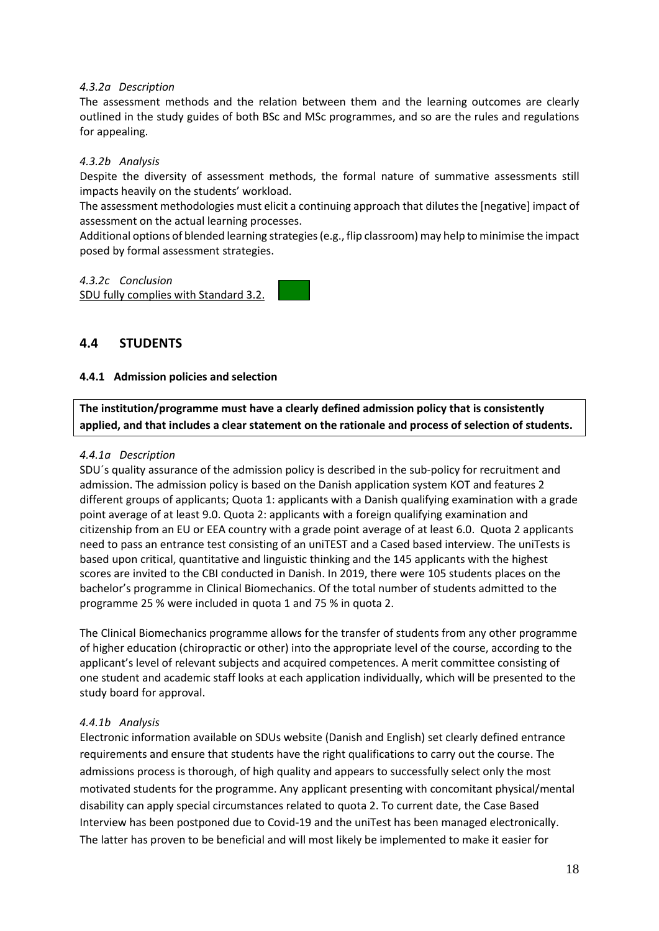#### *4.3.2a Description*

The assessment methods and the relation between them and the learning outcomes are clearly outlined in the study guides of both BSc and MSc programmes, and so are the rules and regulations for appealing.

#### *4.3.2b Analysis*

Despite the diversity of assessment methods, the formal nature of summative assessments still impacts heavily on the students' workload.

The assessment methodologies must elicit a continuing approach that dilutes the [negative] impact of assessment on the actual learning processes.

Additional options of blended learning strategies(e.g., flip classroom) may help to minimise the impact posed by formal assessment strategies.

#### *4.3.2c Conclusion*

SDU fully complies with Standard 3.2.

#### <span id="page-17-0"></span>**4.4 STUDENTS**

#### **4.4.1 Admission policies and selection**

**The institution/programme must have a clearly defined admission policy that is consistently applied, and that includes a clear statement on the rationale and process of selection of students.**

#### *4.4.1a Description*

SDU´s quality assurance of the admission policy is described in the [sub-policy for recruitment and](https://www.sdu.dk/-/media/files/om_sdu/dokumentation_tal/uddannelseskvalitet+(130618)/kvalitetspolitik/engelsk+version/1_delpolitik_for_rekruttering_og_optagelse_enuk.pdf)  [admission.](https://www.sdu.dk/-/media/files/om_sdu/dokumentation_tal/uddannelseskvalitet+(130618)/kvalitetspolitik/engelsk+version/1_delpolitik_for_rekruttering_og_optagelse_enuk.pdf) The admission policy is based on the Danish application system KOT and features 2 different groups of applicants; Quota 1: applicants with a Danish qualifying examination with a grade point average of at least 9.0. Quota 2: applicants with a foreign qualifying examination and citizenship from an EU or EEA country with a grade point average of at least 6.0. Quota 2 applicants need to pass an entrance test consisting of an uniTEST and a Cased based interview. The uniTests is based upon critical, quantitative and linguistic thinking and the 145 applicants with the highest scores are invited to the CBI conducted in Danish. In 2019, there were 105 students places on the bachelor's programme in Clinical Biomechanics. Of the total number of students admitted to the programme 25 % were included in quota 1 and 75 % in quota 2.

The Clinical Biomechanics programme allows for the transfer of students from any other programme of higher education (chiropractic or other) into the appropriate level of the course, according to the applicant's level of relevant subjects and acquired competences. A merit committee consisting of one student and academic staff looks at each application individually, which will be presented to the study board for approval.

#### *4.4.1b Analysis*

Electronic information available on SDUs website (Danish and English) set clearly defined entrance requirements and ensure that students have the right qualifications to carry out the course. The admissions process is thorough, of high quality and appears to successfully select only the most motivated students for the programme. Any applicant presenting with concomitant physical/mental disability can apply special circumstances related to quota 2. To current date, the Case Based Interview has been postponed due to Covid-19 and the uniTest has been managed electronically. The latter has proven to be beneficial and will most likely be implemented to make it easier for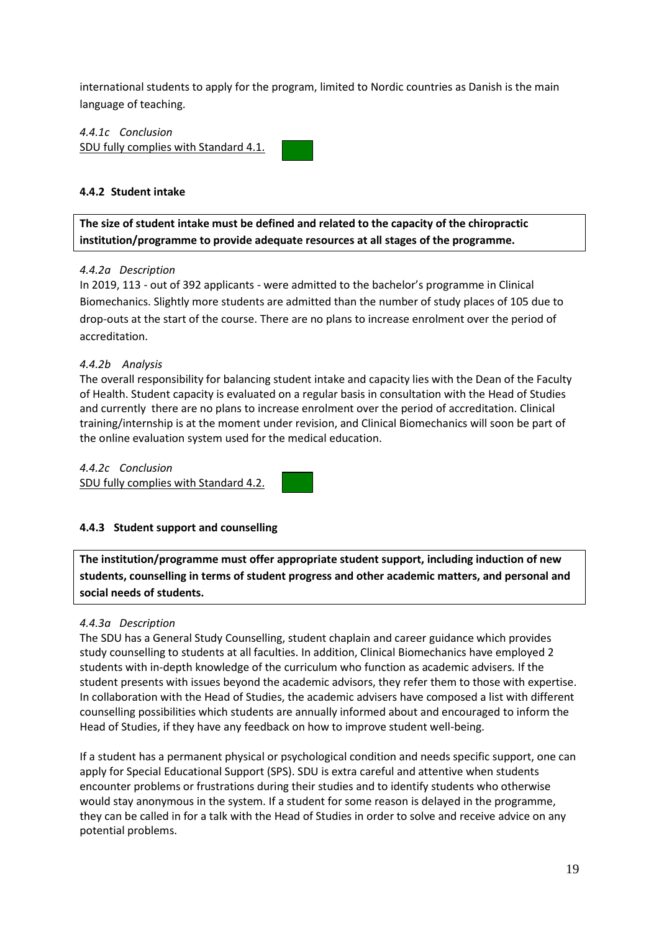international students to apply for the program, limited to Nordic countries as Danish is the main language of teaching.

*4.4.1c Conclusion* SDU fully complies with Standard 4.1.

#### **4.4.2 Student intake**

**The size of student intake must be defined and related to the capacity of the chiropractic institution/programme to provide adequate resources at all stages of the programme.**

#### *4.4.2a Description*

In 2019, 113 - out of 392 applicants - were admitted to the bachelor's programme in Clinical Biomechanics. Slightly more students are admitted than the number of study places of 105 due to drop-outs at the start of the course. There are no plans to increase enrolment over the period of accreditation.

#### *4.4.2b Analysis*

The overall responsibility for balancing student intake and capacity lies with the Dean of the Faculty of Health. Student capacity is evaluated on a regular basis in consultation with the Head of Studies and currently there are no plans to increase enrolment over the period of accreditation. Clinical training/internship is at the moment under revision, and Clinical Biomechanics will soon be part of the online evaluation system used for the medical education.

*4.4.2c Conclusion* SDU fully complies with Standard 4.2.

#### **4.4.3 Student support and counselling**

**The institution/programme must offer appropriate student support, including induction of new students, counselling in terms of student progress and other academic matters, and personal and social needs of students.**

#### *4.4.3a Description*

The SDU has a General Study Counselling, student chaplain and career guidance which provides study counselling to students at all faculties. In addition, Clinical Biomechanics have employed 2 students with in-depth knowledge of the curriculum who function as academic advisers*.* If the student presents with issues beyond the academic advisors, they refer them to those with expertise. In collaboration with the Head of Studies, the academic advisers have composed a list with different counselling possibilities which students are annually informed about and encouraged to inform the Head of Studies, if they have any feedback on how to improve student well-being.

If a student has a permanent physical or psychological condition and needs specific support, one can apply for Special Educational Support (SPS). SDU is extra careful and attentive when students encounter problems or frustrations during their studies and to identify students who otherwise would stay anonymous in the system. If a student for some reason is delayed in the programme, they can be called in for a talk with the Head of Studies in order to solve and receive advice on any potential problems.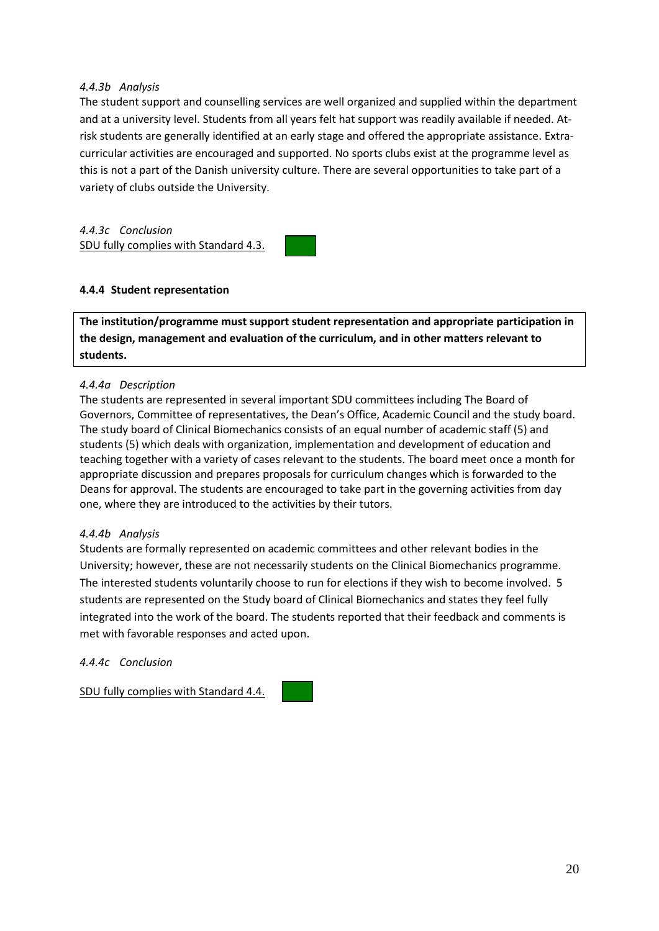#### *4.4.3b Analysis*

The student support and counselling services are well organized and supplied within the department and at a university level. Students from all years felt hat support was readily available if needed. Atrisk students are generally identified at an early stage and offered the appropriate assistance. Extracurricular activities are encouraged and supported. No sports clubs exist at the programme level as this is not a part of the Danish university culture. There are several opportunities to take part of a variety of clubs outside the University.

*4.4.3c Conclusion* SDU fully complies with Standard 4.3.



#### **4.4.4 Student representation**

**The institution/programme must support student representation and appropriate participation in the design, management and evaluation of the curriculum, and in other matters relevant to students.**

#### *4.4.4a Description*

The students are represented in several important SDU committees including The Board of Governors, Committee of representatives, the Dean's Office, Academic Council and the study board. The study board of Clinical Biomechanics consists of an equal number of academic staff (5) and students (5) which deals with organization, implementation and development of education and teaching together with a variety of cases relevant to the students. The board meet once a month for appropriate discussion and prepares proposals for curriculum changes which is forwarded to the Deans for approval. The students are encouraged to take part in the governing activities from day one, where they are introduced to the activities by their tutors.

#### *4.4.4b Analysis*

Students are formally represented on academic committees and other relevant bodies in the University; however, these are not necessarily students on the Clinical Biomechanics programme. The interested students voluntarily choose to run for elections if they wish to become involved. 5 students are represented on the Study board of Clinical Biomechanics and states they feel fully integrated into the work of the board. The students reported that their feedback and comments is met with favorable responses and acted upon.

*4.4.4c Conclusion*

SDU fully complies with Standard 4.4.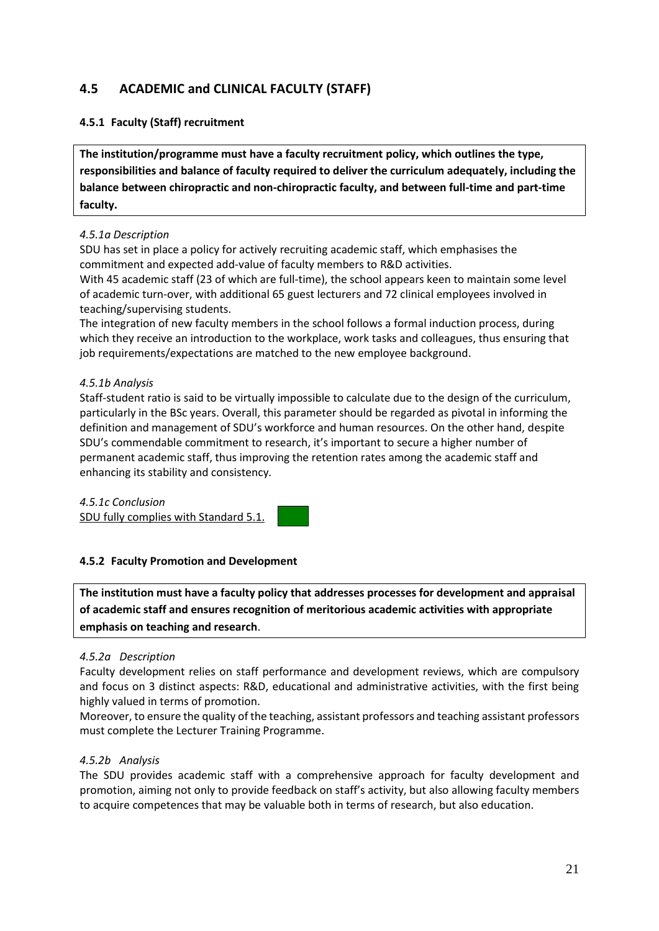# <span id="page-20-0"></span>**4.5 ACADEMIC and CLINICAL FACULTY (STAFF)**

### **4.5.1 Faculty (Staff) recruitment**

**The institution/programme must have a faculty recruitment policy, which outlines the type, responsibilities and balance of faculty required to deliver the curriculum adequately, including the balance between chiropractic and non-chiropractic faculty, and between full-time and part-time faculty.**

#### *4.5.1a Description*

SDU has set in place a policy for actively recruiting academic staff, which emphasises the commitment and expected add-value of faculty members to R&D activities.

With 45 academic staff (23 of which are full-time), the school appears keen to maintain some level of academic turn-over, with additional 65 guest lecturers and 72 clinical employees involved in teaching/supervising students.

The integration of new faculty members in the school follows a formal induction process, during which they receive an introduction to the workplace, work tasks and colleagues, thus ensuring that job requirements/expectations are matched to the new employee background.

#### *4.5.1b Analysis*

Staff-student ratio is said to be virtually impossible to calculate due to the design of the curriculum, particularly in the BSc years. Overall, this parameter should be regarded as pivotal in informing the definition and management of SDU's workforce and human resources. On the other hand, despite SDU's commendable commitment to research, it's important to secure a higher number of permanent academic staff, thus improving the retention rates among the academic staff and enhancing its stability and consistency*.* 

*4.5.1c Conclusion* SDU fully complies with Standard 5.1.

#### **4.5.2 Faculty Promotion and Development**

**The institution must have a faculty policy that addresses processes for development and appraisal of academic staff and ensures recognition of meritorious academic activities with appropriate emphasis on teaching and research**.

#### *4.5.2a Description*

Faculty development relies on staff performance and development reviews, which are compulsory and focus on 3 distinct aspects: R&D, educational and administrative activities, with the first being highly valued in terms of promotion.

Moreover, to ensure the quality of the teaching, assistant professors and teaching assistant professors must complete the Lecturer Training Programme.

#### *4.5.2b Analysis*

The SDU provides academic staff with a comprehensive approach for faculty development and promotion, aiming not only to provide feedback on staff's activity, but also allowing faculty members to acquire competences that may be valuable both in terms of research, but also education.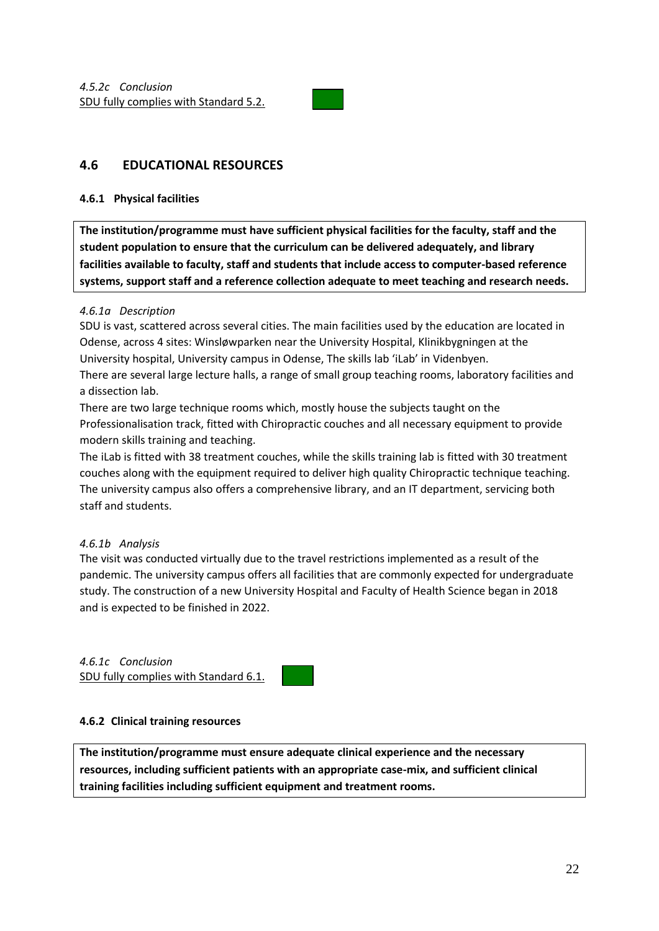

# <span id="page-21-0"></span>**4.6 EDUCATIONAL RESOURCES**

#### **4.6.1 Physical facilities**

**The institution/programme must have sufficient physical facilities for the faculty, staff and the student population to ensure that the curriculum can be delivered adequately, and library facilities available to faculty, staff and students that include access to computer-based reference systems, support staff and a reference collection adequate to meet teaching and research needs.** 

#### *4.6.1a Description*

SDU is vast, scattered across several cities. The main facilities used by the education are located in Odense, across 4 sites: Winsløwparken near the University Hospital, Klinikbygningen at the University hospital, University campus in Odense, The skills lab 'iLab' in [Videnbyen.](https://syddanskeforskerparker.dk/en/departments/videnbyen/)

There are several large lecture halls, a range of small group teaching rooms, laboratory facilities and a dissection lab.

There are two large technique rooms which, mostly house the subjects taught on the Professionalisation track, fitted with Chiropractic couches and all necessary equipment to provide modern skills training and teaching.

The iLab is fitted with 38 treatment couches, while the skills training lab is fitted with 30 treatment couches along with the equipment required to deliver high quality Chiropractic technique teaching. The university campus also offers a comprehensive library, and an IT department, servicing both staff and students.

#### *4.6.1b Analysis*

The visit was conducted virtually due to the travel restrictions implemented as a result of the pandemic. The university campus offers all facilities that are commonly expected for undergraduate study. The construction of a new University Hospital and Faculty of Health Science began in 2018 and is expected to be finished in 2022.

*4.6.1c Conclusion* SDU fully complies with Standard 6.1.

#### **4.6.2 Clinical training resources**

**The institution/programme must ensure adequate clinical experience and the necessary resources, including sufficient patients with an appropriate case-mix, and sufficient clinical training facilities including sufficient equipment and treatment rooms.**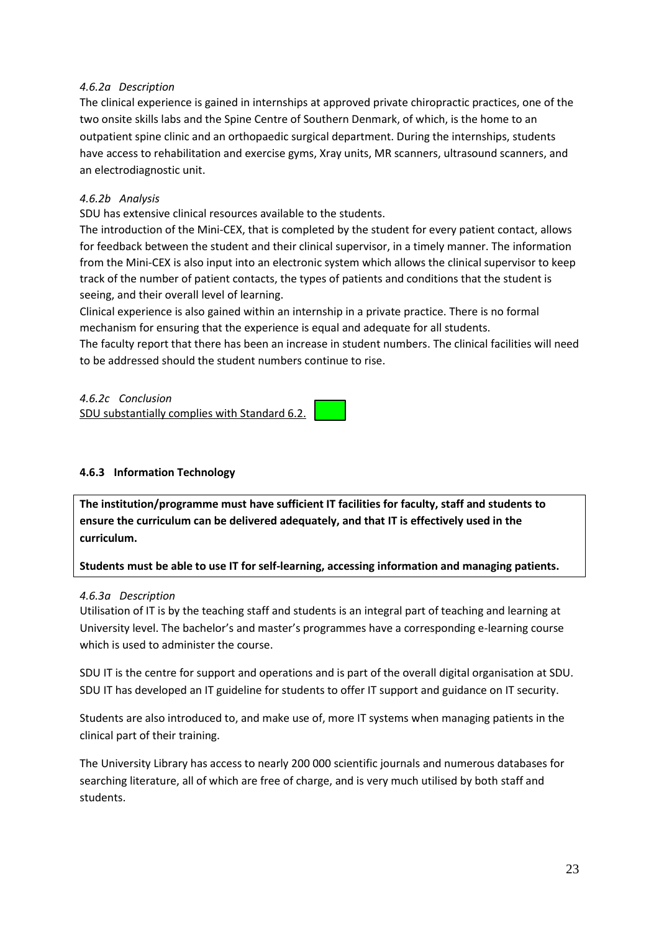#### *4.6.2a Description*

The clinical experience is gained in internships at approved private chiropractic practices, one of the two onsite skills labs and the Spine Centre of Southern Denmark, of which, is the home to an outpatient spine clinic and an orthopaedic surgical department. During the internships, students have access to rehabilitation and exercise gyms, Xray units, MR scanners, ultrasound scanners, and an electrodiagnostic unit.

#### *4.6.2b Analysis*

SDU has extensive clinical resources available to the students.

The introduction of the Mini-CEX, that is completed by the student for every patient contact, allows for feedback between the student and their clinical supervisor, in a timely manner. The information from the Mini-CEX is also input into an electronic system which allows the clinical supervisor to keep track of the number of patient contacts, the types of patients and conditions that the student is seeing, and their overall level of learning.

Clinical experience is also gained within an internship in a private practice. There is no formal mechanism for ensuring that the experience is equal and adequate for all students.

The faculty report that there has been an increase in student numbers. The clinical facilities will need to be addressed should the student numbers continue to rise.

*4.6.2c Conclusion*

SDU substantially complies with Standard 6.2.

#### **4.6.3 Information Technology**

**The institution/programme must have sufficient IT facilities for faculty, staff and students to ensure the curriculum can be delivered adequately, and that IT is effectively used in the curriculum.** 

**Students must be able to use IT for self-learning, accessing information and managing patients.** 

#### *4.6.3a Description*

Utilisation of IT is by the teaching staff and students is an integral part of teaching and learning at University level. The bachelor's and master's programmes have a corresponding e-learning course which is used to administer the course.

SDU IT is the centre for support and operations and is part of the overall digital organisation at SDU. SDU IT has developed an IT guideline for students to offer IT support and guidance on IT security.

Students are also introduced to, and make use of, more IT systems when managing patients in the clinical part of their training.

The University Library has access to nearly 200 000 scientific journals and numerous databases for searching literature, all of which are free of charge, and is very much utilised by both staff and students.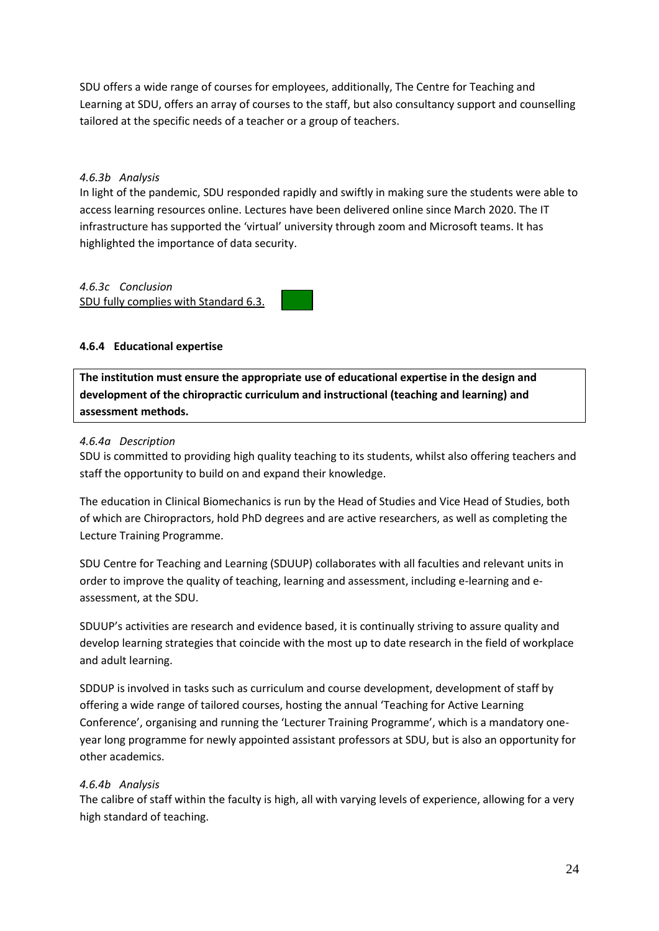SDU offers a wide range of courses for employees, additionally, The Centre for Teaching and Learning at SDU, offers an array of courses to the staff, but also consultancy support and counselling tailored at the specific needs of a teacher or a group of teachers.

#### *4.6.3b Analysis*

In light of the pandemic, SDU responded rapidly and swiftly in making sure the students were able to access learning resources online. Lectures have been delivered online since March 2020. The IT infrastructure has supported the 'virtual' university through zoom and Microsoft teams. It has highlighted the importance of data security.

# *4.6.3c Conclusion*

SDU fully complies with Standard 6.3.

### **4.6.4 Educational expertise**

**The institution must ensure the appropriate use of educational expertise in the design and development of the chiropractic curriculum and instructional (teaching and learning) and assessment methods.**

#### *4.6.4a Description*

SDU is committed to providing high quality teaching to its students, whilst also offering teachers and staff the opportunity to build on and expand their knowledge.

The education in Clinical Biomechanics is run by the Head of Studies and Vice Head of Studies, both of which are Chiropractors, hold PhD degrees and are active researchers, as well as completing the Lecture Training Programme.

SDU Centre for Teaching and Learning (SDUUP) collaborates with all faculties and relevant units in order to improve the quality of teaching, learning and assessment, including e-learning and eassessment, at the SDU.

SDUUP's activities are research and evidence based, it is continually striving to assure quality and develop learning strategies that coincide with the most up to date research in the field of workplace and adult learning.

SDDUP is involved in tasks such as curriculum and course development, development of staff by offering a wide range of tailored courses, hosting the annual 'Teaching for Active Learning Conference', organising and running the 'Lecturer Training Programme', which is a mandatory oneyear long programme for newly appointed assistant professors at SDU, but is also an opportunity for other academics.

#### *4.6.4b Analysis*

The calibre of staff within the faculty is high, all with varying levels of experience, allowing for a very high standard of teaching.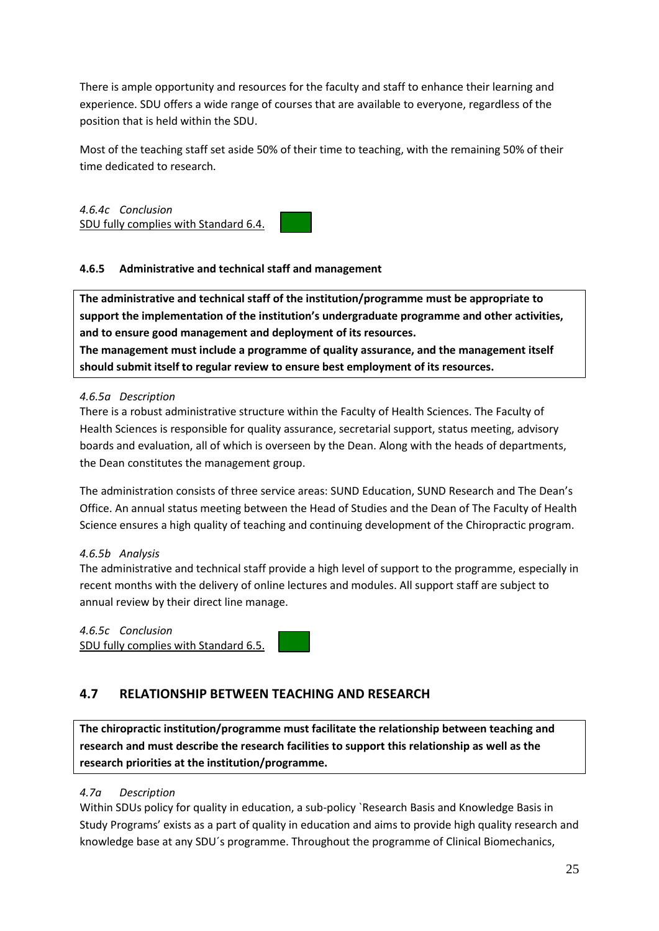There is ample opportunity and resources for the faculty and staff to enhance their learning and experience. SDU offers a wide range of courses that are available to everyone, regardless of the position that is held within the SDU.

Most of the teaching staff set aside 50% of their time to teaching, with the remaining 50% of their time dedicated to research.

*4.6.4c Conclusion* SDU fully complies with Standard 6.4.

### **4.6.5 Administrative and technical staff and management**

**The administrative and technical staff of the institution/programme must be appropriate to support the implementation of the institution's undergraduate programme and other activities, and to ensure good management and deployment of its resources. The management must include a programme of quality assurance, and the management itself should submit itself to regular review to ensure best employment of its resources.**

#### *4.6.5a Description*

There is a robust administrative structure within the Faculty of Health Sciences. The Faculty of Health Sciences is responsible for quality assurance, secretarial support, status meeting, advisory boards and evaluation, all of which is overseen by the Dean. Along with the heads of departments, the Dean constitutes the management group.

The administration consists of three service areas: SUND Education, SUND Research and The Dean's Office. An annual status meeting between the Head of Studies and the Dean of The Faculty of Health Science ensures a high quality of teaching and continuing development of the Chiropractic program.

#### *4.6.5b Analysis*

The administrative and technical staff provide a high level of support to the programme, especially in recent months with the delivery of online lectures and modules. All support staff are subject to annual review by their direct line manage.

# *4.6.5c Conclusion*

SDU fully complies with Standard 6.5.

# <span id="page-24-0"></span>**4.7 RELATIONSHIP BETWEEN TEACHING AND RESEARCH**

**The chiropractic institution/programme must facilitate the relationship between teaching and research and must describe the research facilities to support this relationship as well as the research priorities at the institution/programme.**

#### *4.7a Description*

Within SDUs policy for quality in education, a sub-policy `Research Basis and Knowledge Basis in Study Programs' exists as a part of quality in education and aims to provide high quality research and knowledge base at any SDU´s programme. Throughout the programme of Clinical Biomechanics,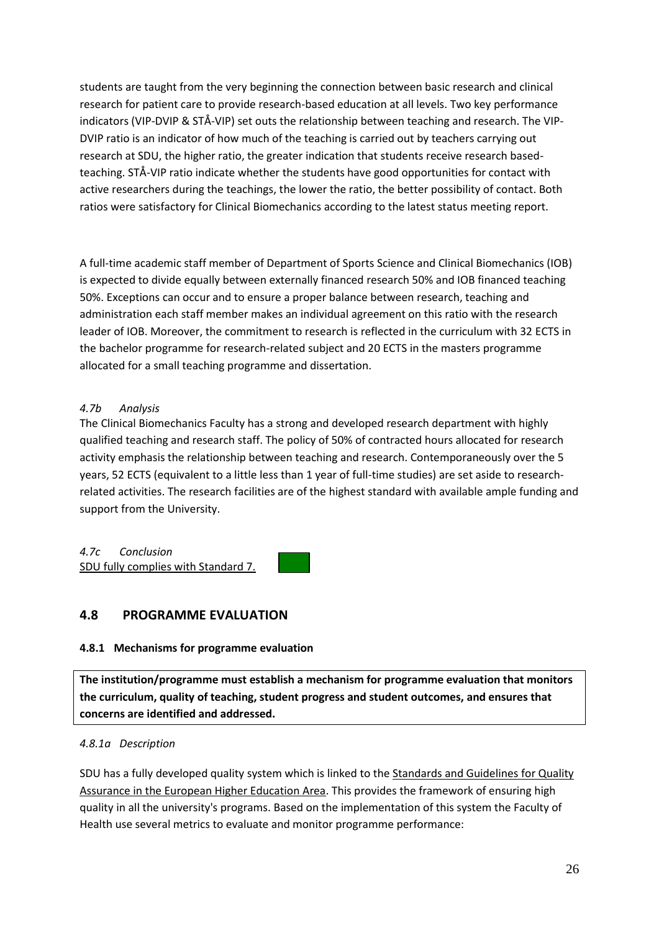students are taught from the very beginning the connection between basic research and clinical research for patient care to provide research-based education at all levels. Two key performance indicators (VIP-DVIP & STÅ-VIP) set outs the relationship between teaching and research. The VIP-DVIP ratio is an indicator of how much of the teaching is carried out by teachers carrying out research at SDU, the higher ratio, the greater indication that students receive research basedteaching. STÅ-VIP ratio indicate whether the students have good opportunities for contact with active researchers during the teachings, the lower the ratio, the better possibility of contact. Both ratios were satisfactory for Clinical Biomechanics according to the latest status meeting report.

A full-time academic staff member of Department of Sports Science and Clinical Biomechanics (IOB) is expected to divide equally between externally financed research 50% and IOB financed teaching 50%. Exceptions can occur and to ensure a proper balance between research, teaching and administration each staff member makes an individual agreement on this ratio with the research leader of IOB. Moreover, the commitment to research is reflected in the curriculum with 32 ECTS in the bachelor programme for research-related subject and 20 ECTS in the masters programme allocated for a small teaching programme and dissertation.

### *4.7b Analysis*

The Clinical Biomechanics Faculty has a strong and developed research department with highly qualified teaching and research staff. The policy of 50% of contracted hours allocated for research activity emphasis the relationship between teaching and research. Contemporaneously over the 5 years, 52 ECTS (equivalent to a little less than 1 year of full-time studies) are set aside to researchrelated activities. The research facilities are of the highest standard with available ample funding and support from the University.

*4.7c Conclusion* SDU fully complies with Standard 7.

# <span id="page-25-0"></span>**4.8 PROGRAMME EVALUATION**

#### **4.8.1 Mechanisms for programme evaluation**

**The institution/programme must establish a mechanism for programme evaluation that monitors the curriculum, quality of teaching, student progress and student outcomes, and ensures that concerns are identified and addressed.**

#### *4.8.1a Description*

SDU has a fully developed quality system which is linked to the Standards and Guidelines for Quality Assurance in the European Higher Education Area. This provides the framework of ensuring high quality in all the university's programs. Based on the implementation of this system the Faculty of Health use several metrics to evaluate and monitor programme performance: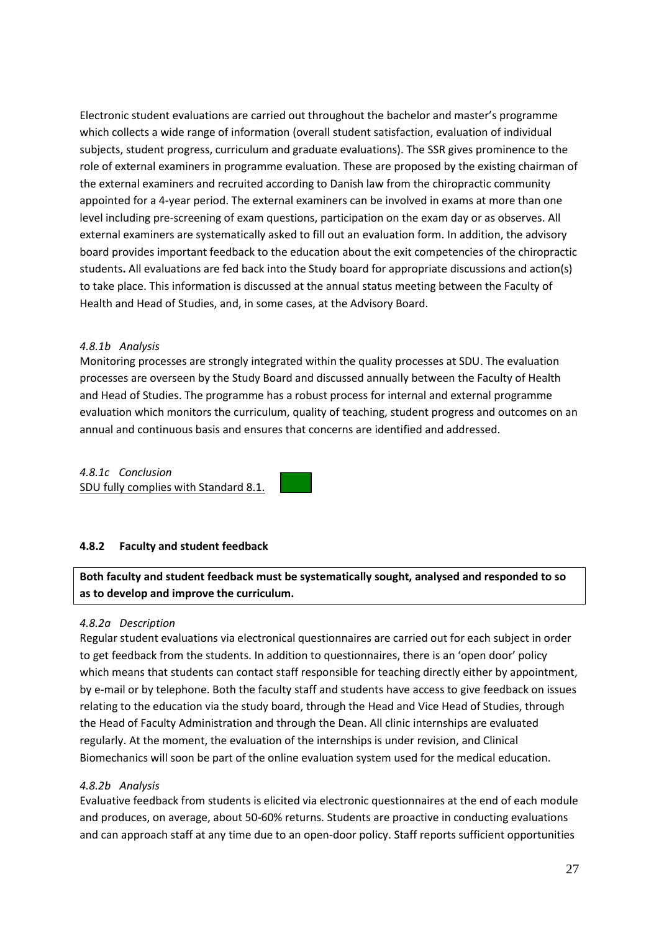Electronic student evaluations are carried out throughout the bachelor and master's programme which collects a wide range of information (overall student satisfaction, evaluation of individual subjects, student progress, curriculum and graduate evaluations). The SSR gives prominence to the role of external examiners in programme evaluation. These are proposed by the existing chairman of the external examiners and recruited according to Danish law from the chiropractic community appointed for a 4-year period. The external examiners can be involved in exams at more than one level including pre-screening of exam questions, participation on the exam day or as observes. All external examiners are systematically asked to fill out an evaluation form. In addition, the advisory board provides important feedback to the education about the exit competencies of the chiropractic students**.** All evaluations are fed back into the Study board for appropriate discussions and action(s) to take place. This information is discussed at the annual status meeting between the Faculty of Health and Head of Studies, and, in some cases, at the Advisory Board.

#### *4.8.1b Analysis*

Monitoring processes are strongly integrated within the quality processes at SDU. The evaluation processes are overseen by the Study Board and discussed annually between the Faculty of Health and Head of Studies. The programme has a robust process for internal and external programme evaluation which monitors the curriculum, quality of teaching, student progress and outcomes on an annual and continuous basis and ensures that concerns are identified and addressed.

# *4.8.1c Conclusion*

SDU fully complies with Standard 8.1.

#### **4.8.2 Faculty and student feedback**

**Both faculty and student feedback must be systematically sought, analysed and responded to so as to develop and improve the curriculum.**

#### *4.8.2a Description*

Regular student evaluations via electronical questionnaires are carried out for each subject in order to get feedback from the students. In addition to questionnaires, there is an 'open door' policy which means that students can contact staff responsible for teaching directly either by appointment, by e-mail or by telephone. Both the faculty staff and students have access to give feedback on issues relating to the education via the study board, through the Head and Vice Head of Studies, through the Head of Faculty Administration and through the Dean. All clinic internships are evaluated regularly. At the moment, the evaluation of the internships is under revision, and Clinical Biomechanics will soon be part of the online evaluation system used for the medical education.

#### *4.8.2b Analysis*

Evaluative feedback from students is elicited via electronic questionnaires at the end of each module and produces, on average, about 50-60% returns. Students are proactive in conducting evaluations and can approach staff at any time due to an open-door policy. Staff reports sufficient opportunities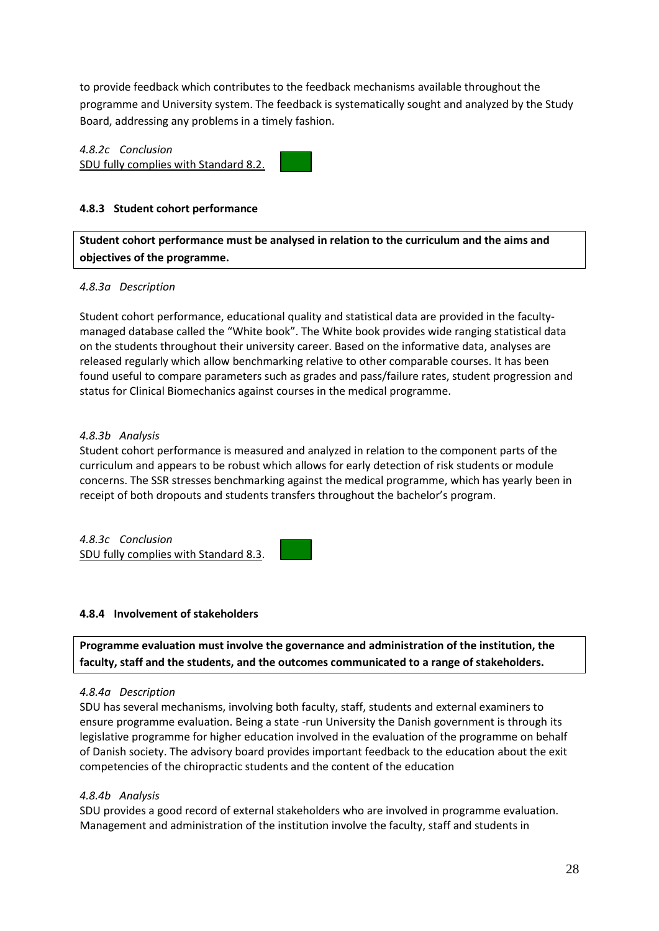to provide feedback which contributes to the feedback mechanisms available throughout the programme and University system. The feedback is systematically sought and analyzed by the Study Board, addressing any problems in a timely fashion.

*4.8.2c Conclusion* SDU fully complies with Standard 8.2.

#### **4.8.3 Student cohort performance**

**Student cohort performance must be analysed in relation to the curriculum and the aims and objectives of the programme.**

#### *4.8.3a Description*

Student cohort performance, educational quality and statistical data are provided in the facultymanaged database called the "White book". The White book provides wide ranging statistical data on the students throughout their university career. Based on the informative data, analyses are released regularly which allow benchmarking relative to other comparable courses. It has been found useful to compare parameters such as grades and pass/failure rates, student progression and status for Clinical Biomechanics against courses in the medical programme.

#### *4.8.3b Analysis*

Student cohort performance is measured and analyzed in relation to the component parts of the curriculum and appears to be robust which allows for early detection of risk students or module concerns. The SSR stresses benchmarking against the medical programme, which has yearly been in receipt of both dropouts and students transfers throughout the bachelor's program.

*4.8.3c Conclusion* SDU fully complies with Standard 8.3.

#### **4.8.4 Involvement of stakeholders**

**Programme evaluation must involve the governance and administration of the institution, the faculty, staff and the students, and the outcomes communicated to a range of stakeholders.**

#### *4.8.4a Description*

SDU has several mechanisms, involving both faculty, staff, students and external examiners to ensure programme evaluation. Being a state -run University the Danish government is through its legislative programme for higher education involved in the evaluation of the programme on behalf of Danish society. The advisory board provides important feedback to the education about the exit competencies of the chiropractic students and the content of the education

#### *4.8.4b Analysis*

SDU provides a good record of external stakeholders who are involved in programme evaluation. Management and administration of the institution involve the faculty, staff and students in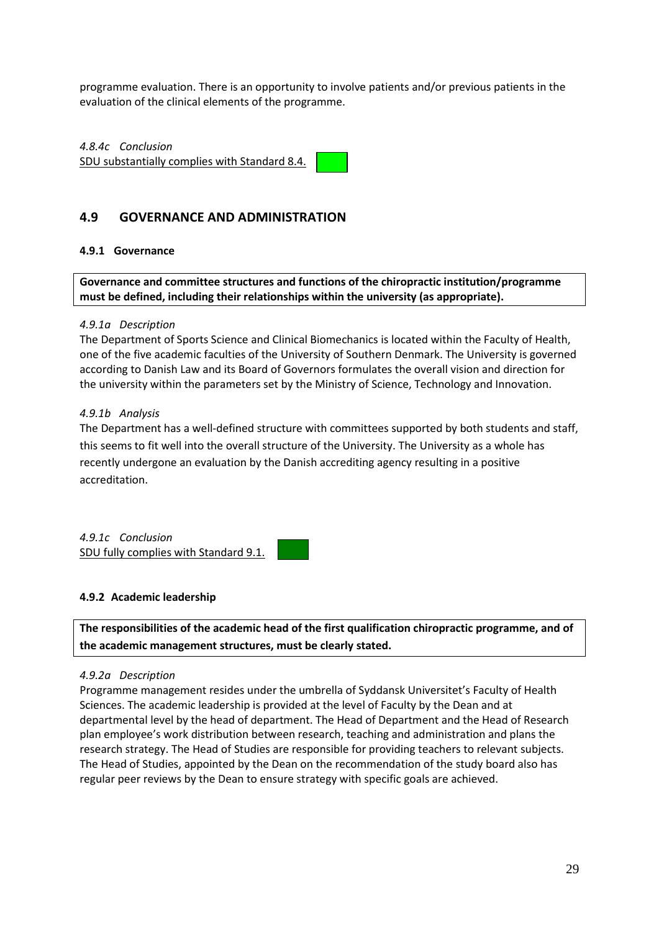programme evaluation. There is an opportunity to involve patients and/or previous patients in the evaluation of the clinical elements of the programme.

*4.8.4c Conclusion* SDU substantially complies with Standard 8.4.

### <span id="page-28-0"></span>**4.9 GOVERNANCE AND ADMINISTRATION**

#### **4.9.1 Governance**

**Governance and committee structures and functions of the chiropractic institution/programme must be defined, including their relationships within the university (as appropriate).**

#### *4.9.1a Description*

The Department of Sports Science and Clinical Biomechanics is located within the Faculty of Health, one of the five academic faculties of the University of Southern Denmark. The University is governed according to Danish Law and its Board of Governors formulates the overall vision and direction for the university within the parameters set by the Ministry of Science, Technology and Innovation.

#### *4.9.1b Analysis*

The Department has a well-defined structure with committees supported by both students and staff, this seems to fit well into the overall structure of the University. The University as a whole has recently undergone an evaluation by the Danish accrediting agency resulting in a positive accreditation.

*4.9.1c Conclusion* SDU fully complies with Standard 9.1.

#### **4.9.2 Academic leadership**

**The responsibilities of the academic head of the first qualification chiropractic programme, and of the academic management structures, must be clearly stated.**

#### *4.9.2a Description*

Programme management resides under the umbrella of Syddansk Universitet's Faculty of Health Sciences. The academic leadership is provided at the level of Faculty by the Dean and at departmental level by the head of department. The Head of Department and the Head of Research plan employee's work distribution between research, teaching and administration and plans the research strategy. The Head of Studies are responsible for providing teachers to relevant subjects. The Head of Studies, appointed by the Dean on the recommendation of the study board also has regular peer reviews by the Dean to ensure strategy with specific goals are achieved.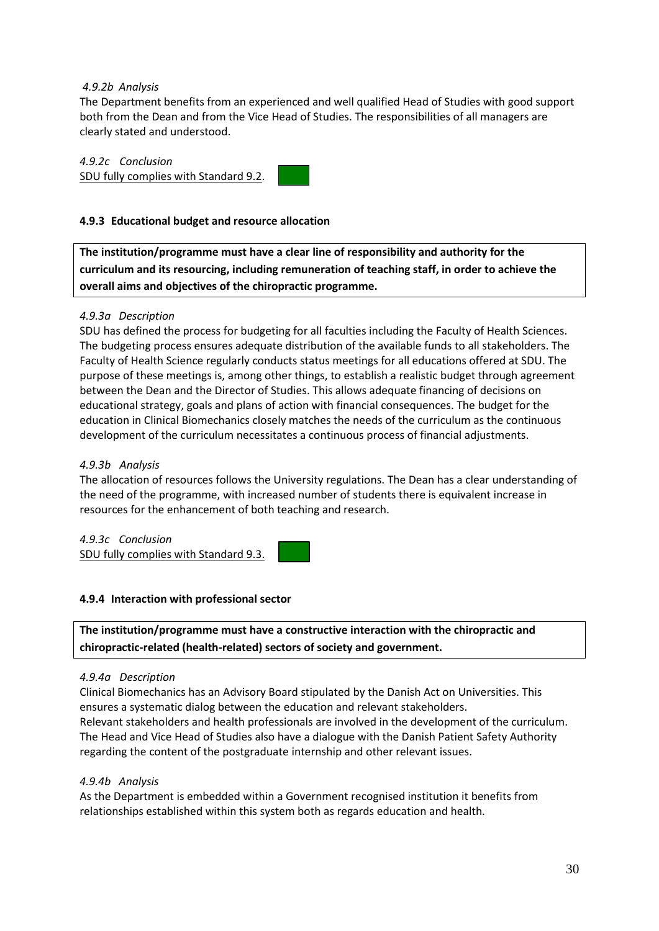#### *4.9.2b Analysis*

The Department benefits from an experienced and well qualified Head of Studies with good support both from the Dean and from the Vice Head of Studies. The responsibilities of all managers are clearly stated and understood.

# *4.9.2c Conclusion*

SDU fully complies with Standard 9.2.

### **4.9.3 Educational budget and resource allocation**

**The institution/programme must have a clear line of responsibility and authority for the curriculum and its resourcing, including remuneration of teaching staff, in order to achieve the overall aims and objectives of the chiropractic programme.**

#### *4.9.3a Description*

SDU has defined the process for budgeting for all faculties including the Faculty of Health Sciences. The budgeting process ensures adequate distribution of the available funds to all stakeholders. The Faculty of Health Science regularly conducts status meetings for all educations offered at SDU. The purpose of these meetings is, among other things, to establish a realistic budget through agreement between the Dean and the Director of Studies. This allows adequate financing of decisions on educational strategy, goals and plans of action with financial consequences. The budget for the education in Clinical Biomechanics closely matches the needs of the curriculum as the continuous development of the curriculum necessitates a continuous process of financial adjustments.

#### *4.9.3b Analysis*

The allocation of resources follows the University regulations. The Dean has a clear understanding of the need of the programme, with increased number of students there is equivalent increase in resources for the enhancement of both teaching and research.

*4.9.3c Conclusion* SDU fully complies with Standard 9.3.

#### **4.9.4 Interaction with professional sector**

**The institution/programme must have a constructive interaction with the chiropractic and chiropractic-related (health-related) sectors of society and government.**

#### *4.9.4a Description*

Clinical Biomechanics has an Advisory Board stipulated by the Danish Act on Universities. This ensures a systematic dialog between the education and relevant stakeholders. Relevant stakeholders and health professionals are involved in the development of the curriculum. The Head and Vice Head of Studies also have a dialogue with the Danish Patient Safety Authority regarding the content of the postgraduate internship and other relevant issues.

#### *4.9.4b Analysis*

As the Department is embedded within a Government recognised institution it benefits from relationships established within this system both as regards education and health.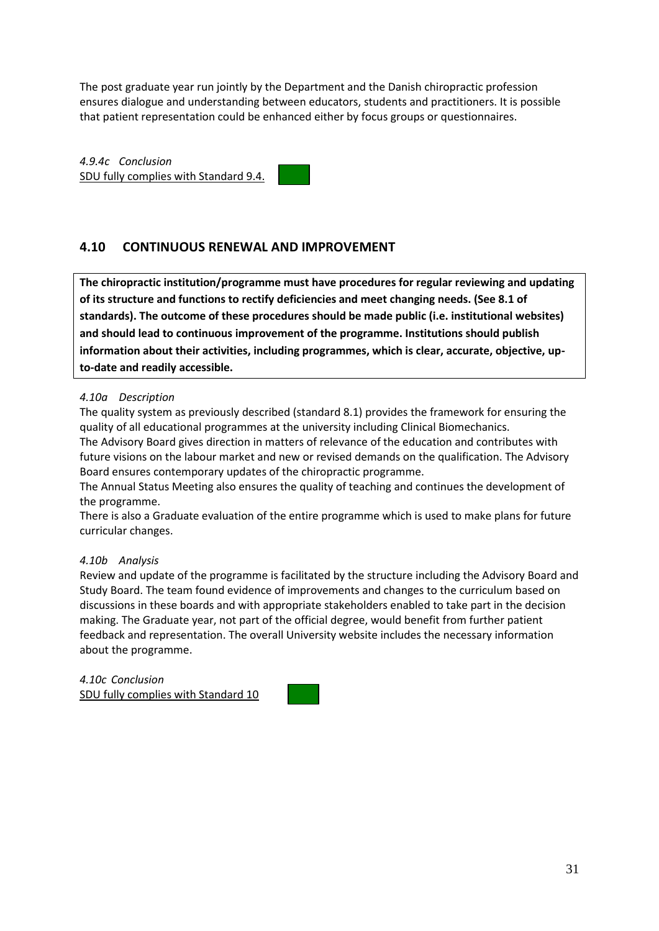The post graduate year run jointly by the Department and the Danish chiropractic profession ensures dialogue and understanding between educators, students and practitioners. It is possible that patient representation could be enhanced either by focus groups or questionnaires.

*4.9.4c Conclusion* SDU fully complies with Standard 9.4.

# <span id="page-30-0"></span>**4.10 CONTINUOUS RENEWAL AND IMPROVEMENT**

**The chiropractic institution/programme must have procedures for regular reviewing and updating of its structure and functions to rectify deficiencies and meet changing needs. (See 8.1 of standards). The outcome of these procedures should be made public (i.e. institutional websites) and should lead to continuous improvement of the programme. Institutions should publish information about their activities, including programmes, which is clear, accurate, objective, upto-date and readily accessible.**

#### *4.10a Description*

The quality system as previously described (standard 8.1) provides the framework for ensuring the quality of all educational programmes at the university including Clinical Biomechanics. The Advisory Board gives direction in matters of relevance of the education and contributes with

future visions on the labour market and new or revised demands on the qualification. The Advisory Board ensures contemporary updates of the chiropractic programme.

The Annual Status Meeting also ensures the quality of teaching and continues the development of the programme.

There is also a Graduate evaluation of the entire programme which is used to make plans for future curricular changes.

#### *4.10b Analysis*

Review and update of the programme is facilitated by the structure including the Advisory Board and Study Board. The team found evidence of improvements and changes to the curriculum based on discussions in these boards and with appropriate stakeholders enabled to take part in the decision making. The Graduate year, not part of the official degree, would benefit from further patient feedback and representation. The overall University website includes the necessary information about the programme.

*4.10c Conclusion* SDU fully complies with Standard 10

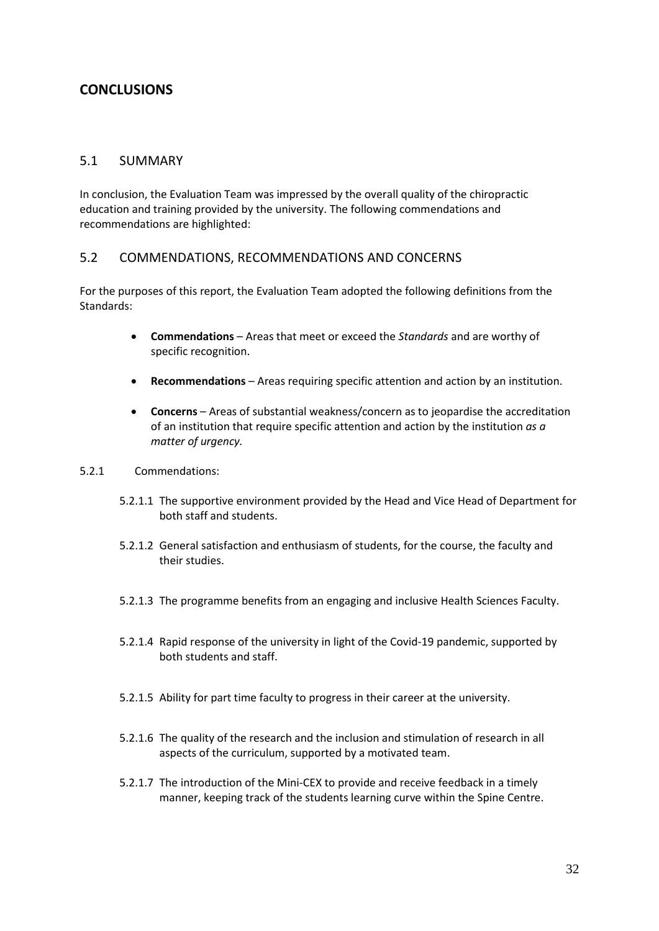# <span id="page-31-0"></span>**CONCLUSIONS**

### <span id="page-31-1"></span>5.1 SUMMARY

In conclusion, the Evaluation Team was impressed by the overall quality of the chiropractic education and training provided by the university. The following commendations and recommendations are highlighted:

#### <span id="page-31-2"></span>5.2 COMMENDATIONS, RECOMMENDATIONS AND CONCERNS

For the purposes of this report, the Evaluation Team adopted the following definitions from the Standards:

- **Commendations** Areas that meet or exceed the *Standards* and are worthy of specific recognition.
- **Recommendations** Areas requiring specific attention and action by an institution.
- **Concerns**  Areas of substantial weakness/concern as to jeopardise the accreditation of an institution that require specific attention and action by the institution *as a matter of urgency.*
- 5.2.1 Commendations:
	- 5.2.1.1 The supportive environment provided by the Head and Vice Head of Department for both staff and students.
	- 5.2.1.2 General satisfaction and enthusiasm of students, for the course, the faculty and their studies.
	- 5.2.1.3 The programme benefits from an engaging and inclusive Health Sciences Faculty.
	- 5.2.1.4 Rapid response of the university in light of the Covid-19 pandemic, supported by both students and staff.
	- 5.2.1.5 Ability for part time faculty to progress in their career at the university.
	- 5.2.1.6 The quality of the research and the inclusion and stimulation of research in all aspects of the curriculum, supported by a motivated team.
	- 5.2.1.7 The introduction of the Mini-CEX to provide and receive feedback in a timely manner, keeping track of the students learning curve within the Spine Centre.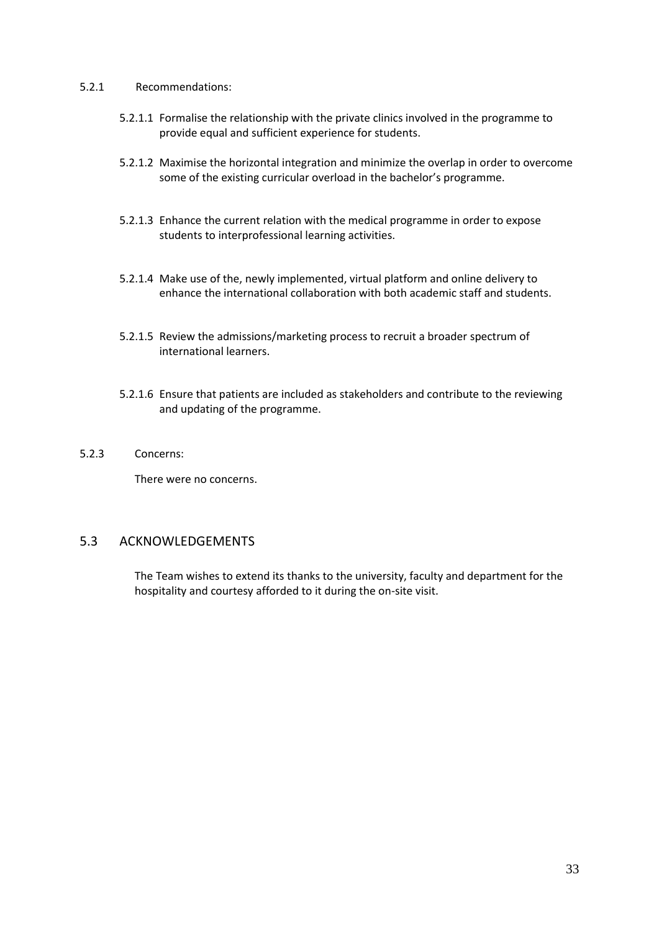#### 5.2.1 Recommendations:

- 5.2.1.1 Formalise the relationship with the private clinics involved in the programme to provide equal and sufficient experience for students.
- 5.2.1.2 Maximise the horizontal integration and minimize the overlap in order to overcome some of the existing curricular overload in the bachelor's programme.
- 5.2.1.3 Enhance the current relation with the medical programme in order to expose students to interprofessional learning activities.
- 5.2.1.4 Make use of the, newly implemented, virtual platform and online delivery to enhance the international collaboration with both academic staff and students.
- 5.2.1.5 Review the admissions/marketing process to recruit a broader spectrum of international learners.
- 5.2.1.6 Ensure that patients are included as stakeholders and contribute to the reviewing and updating of the programme.
- 5.2.3 Concerns:

There were no concerns.

### <span id="page-32-0"></span>5.3 ACKNOWLEDGEMENTS

The Team wishes to extend its thanks to the university, faculty and department for the hospitality and courtesy afforded to it during the on-site visit.